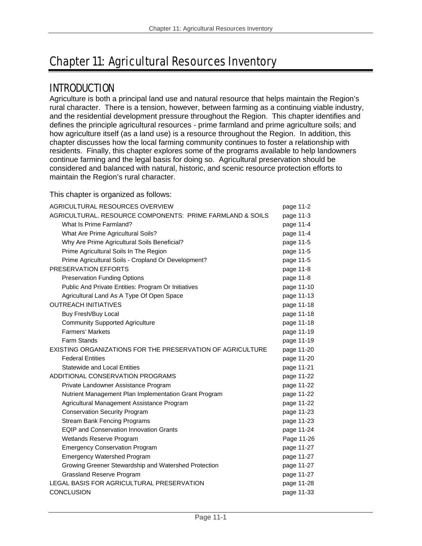# Chapter 11: Agricultural Resources Inventory

## INTRODUCTION

Agriculture is both a principal land use and natural resource that helps maintain the Region's rural character. There is a tension, however, between farming as a continuing viable industry, and the residential development pressure throughout the Region. This chapter identifies and defines the principle agricultural resources - prime farmland and prime agriculture soils; and how agriculture itself (as a land use) is a resource throughout the Region. In addition, this chapter discusses how the local farming community continues to foster a relationship with residents. Finally, this chapter explores some of the programs available to help landowners continue farming and the legal basis for doing so. Agricultural preservation should be considered and balanced with natural, historic, and scenic resource protection efforts to maintain the Region's rural character.

This chapter is organized as follows:

| AGRICULTURAL RESOURCES OVERVIEW                            | page 11-2  |
|------------------------------------------------------------|------------|
| AGRICULTURAL. RESOURCE COMPONENTS: PRIME FARMLAND & SOILS  | page 11-3  |
| What Is Prime Farmland?                                    | page 11-4  |
| What Are Prime Agricultural Soils?                         | page 11-4  |
| Why Are Prime Agricultural Soils Beneficial?               | page 11-5  |
| Prime Agricultural Soils In The Region                     | page 11-5  |
| Prime Agricultural Soils - Cropland Or Development?        | page 11-5  |
| PRESERVATION EFFORTS                                       | page 11-8  |
| <b>Preservation Funding Options</b>                        | page 11-8  |
| Public And Private Entities: Program Or Initiatives        | page 11-10 |
| Agricultural Land As A Type Of Open Space                  | page 11-13 |
| <b>OUTREACH INITIATIVES</b>                                | page 11-18 |
| Buy Fresh/Buy Local                                        | page 11-18 |
| <b>Community Supported Agriculture</b>                     | page 11-18 |
| <b>Farmers' Markets</b>                                    | page 11-19 |
| Farm Stands                                                | page 11-19 |
| EXISTING ORGANIZATIONS FOR THE PRESERVATION OF AGRICULTURE | page 11-20 |
| <b>Federal Entities</b>                                    | page 11-20 |
| <b>Statewide and Local Entities</b>                        | page 11-21 |
| ADDITIONAL CONSERVATION PROGRAMS                           | page 11-22 |
| Private Landowner Assistance Program                       | page 11-22 |
| Nutrient Management Plan Implementation Grant Program      | page 11-22 |
| Agricultural Management Assistance Program                 | page 11-22 |
| <b>Conservation Security Program</b>                       | page 11-23 |
| <b>Stream Bank Fencing Programs</b>                        | page 11-23 |
| <b>EQIP and Conservation Innovation Grants</b>             | page 11-24 |
| Wetlands Reserve Program                                   | Page 11-26 |
| <b>Emergency Conservation Program</b>                      | page 11-27 |
| <b>Emergency Watershed Program</b>                         | page 11-27 |
| Growing Greener Stewardship and Watershed Protection       | page 11-27 |
| Grassland Reserve Program                                  | page 11-27 |
| LEGAL BASIS FOR AGRICULTURAL PRESERVATION                  | page 11-28 |
| <b>CONCLUSION</b>                                          | page 11-33 |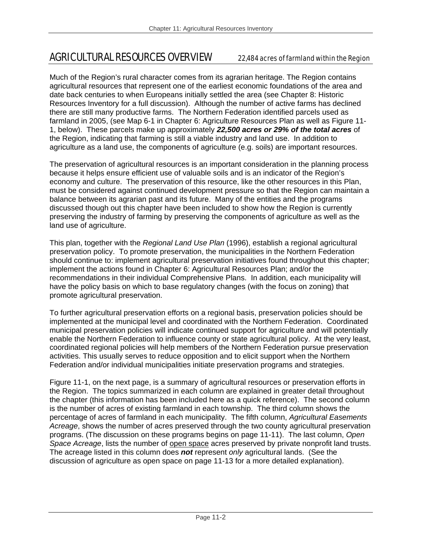## AGRICULTURAL RESOURCES OVERVIEW 22,484 acres of farmland within the Region

Much of the Region's rural character comes from its agrarian heritage. The Region contains agricultural resources that represent one of the earliest economic foundations of the area and date back centuries to when Europeans initially settled the area (see Chapter 8: Historic Resources Inventory for a full discussion). Although the number of active farms has declined there are still many productive farms. The Northern Federation identified parcels used as farmland in 2005, (see Map 6-1 in Chapter 6: Agriculture Resources Plan as well as Figure 11- 1, below). These parcels make up approximately *22,500 acres or 29% of the total acres* of the Region, indicating that farming is still a viable industry and land use. In addition to agriculture as a land use, the components of agriculture (e.g. soils) are important resources.

The preservation of agricultural resources is an important consideration in the planning process because it helps ensure efficient use of valuable soils and is an indicator of the Region's economy and culture. The preservation of this resource, like the other resources in this Plan, must be considered against continued development pressure so that the Region can maintain a balance between its agrarian past and its future. Many of the entities and the programs discussed though out this chapter have been included to show how the Region is currently preserving the industry of farming by preserving the components of agriculture as well as the land use of agriculture.

This plan, together with the *Regional Land Use Plan* (1996), establish a regional agricultural preservation policy. To promote preservation, the municipalities in the Northern Federation should continue to: implement agricultural preservation initiatives found throughout this chapter; implement the actions found in Chapter 6: Agricultural Resources Plan; and/or the recommendations in their individual Comprehensive Plans. In addition, each municipality will have the policy basis on which to base regulatory changes (with the focus on zoning) that promote agricultural preservation.

To further agricultural preservation efforts on a regional basis, preservation policies should be implemented at the municipal level and coordinated with the Northern Federation. Coordinated municipal preservation policies will indicate continued support for agriculture and will potentially enable the Northern Federation to influence county or state agricultural policy. At the very least, coordinated regional policies will help members of the Northern Federation pursue preservation activities. This usually serves to reduce opposition and to elicit support when the Northern Federation and/or individual municipalities initiate preservation programs and strategies.

Figure 11-1, on the next page, is a summary of agricultural resources or preservation efforts in the Region. The topics summarized in each column are explained in greater detail throughout the chapter (this information has been included here as a quick reference). The second column is the number of acres of existing farmland in each township. The third column shows the percentage of acres of farmland in each municipality. The fifth column, *Agricultural Easements Acreage*, shows the number of acres preserved through the two county agricultural preservation programs. (The discussion on these programs begins on page 11-11). The last column, *Open Space Acreage*, lists the number of open space acres preserved by private nonprofit land trusts. The acreage listed in this column does *not* represent *only* agricultural lands. (See the discussion of agriculture as open space on page 11-13 for a more detailed explanation).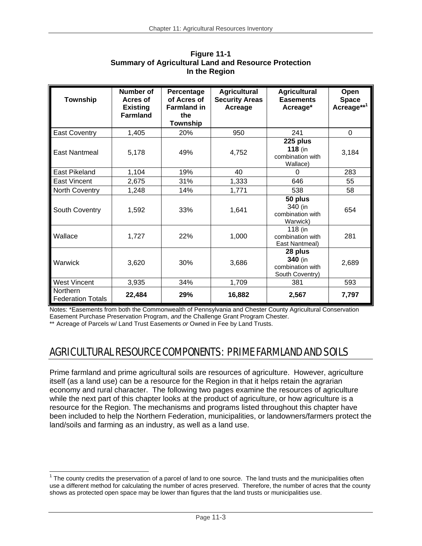| Township                                    | Number of<br>Acres of<br><b>Existing</b><br><b>Farmland</b> | Percentage<br>of Acres of<br><b>Farmland in</b><br>the<br>Township | <b>Agricultural</b><br><b>Security Areas</b><br>Acreage | <b>Agricultural</b><br><b>Easements</b><br>Acreage*       | Open<br><b>Space</b><br>Acreage** <sup>1</sup> |
|---------------------------------------------|-------------------------------------------------------------|--------------------------------------------------------------------|---------------------------------------------------------|-----------------------------------------------------------|------------------------------------------------|
| <b>East Coventry</b>                        | 1,405                                                       | 20%                                                                | 950                                                     | 241                                                       | $\Omega$                                       |
| East Nantmeal                               | 5,178                                                       | 49%                                                                | 4,752                                                   | 225 plus<br>$118$ (in<br>combination with<br>Wallace)     | 3,184                                          |
| <b>East Pikeland</b>                        | 1,104                                                       | 19%                                                                | 40                                                      | $\Omega$                                                  | 283                                            |
| East Vincent                                | 2,675                                                       | 31%                                                                | 1,333                                                   | 646                                                       | 55                                             |
| North Coventry                              | 1,248                                                       | 14%                                                                | 1,771                                                   | 538                                                       | 58                                             |
| South Coventry                              | 1,592                                                       | 33%                                                                | 1,641                                                   | 50 plus<br>340 (in<br>combination with<br>Warwick)        | 654                                            |
| Wallace                                     | 1,727                                                       | 22%                                                                | 1,000                                                   | 118 (in<br>combination with<br>East Nantmeal)             | 281                                            |
| Warwick                                     | 3,620                                                       | 30%                                                                | 3,686                                                   | 28 plus<br>340 (in<br>combination with<br>South Coventry) | 2,689                                          |
| <b>West Vincent</b>                         | 3,935                                                       | 34%                                                                | 1,709                                                   | 381                                                       | 593                                            |
| <b>Northern</b><br><b>Federation Totals</b> | 22,484                                                      | 29%                                                                | 16,882                                                  | 2,567                                                     | 7,797                                          |

| Figure 11-1                                                 |
|-------------------------------------------------------------|
| <b>Summary of Agricultural Land and Resource Protection</b> |
| In the Region                                               |

Notes: \*Easements from both the Commonwealth of Pennsylvania and Chester County Agricultural Conservation Easement Purchase Preservation Program, *and* the Challenge Grant Program Chester.

\*\* Acreage of Parcels w/ Land Trust Easements *or* Owned in Fee by Land Trusts.

 $\overline{a}$ 

# AGRICULTURAL RESOURCE COMPONENTS: PRIME FARMLAND AND SOILS

Prime farmland and prime agricultural soils are resources of agriculture. However, agriculture itself (as a land use) can be a resource for the Region in that it helps retain the agrarian economy and rural character. The following two pages examine the resources of agriculture while the next part of this chapter looks at the product of agriculture, or how agriculture is a resource for the Region. The mechanisms and programs listed throughout this chapter have been included to help the Northern Federation, municipalities, or landowners/farmers protect the land/soils and farming as an industry, as well as a land use.

 $1$  The county credits the preservation of a parcel of land to one source. The land trusts and the municipalities often use a different method for calculating the number of acres preserved. Therefore, the number of acres that the county shows as protected open space may be lower than figures that the land trusts or municipalities use.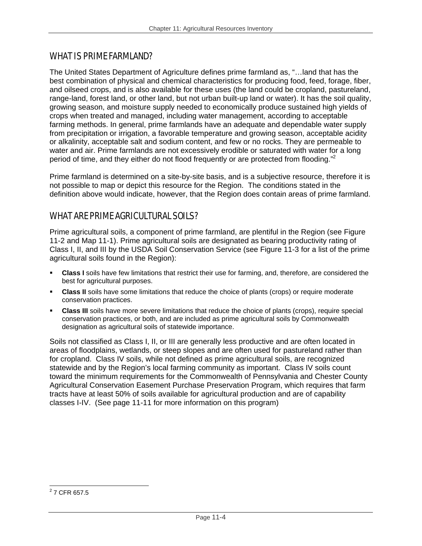## WHAT IS PRIME FARMLAND?

The United States Department of Agriculture defines prime farmland as, "…land that has the best combination of physical and chemical characteristics for producing food, feed, forage, fiber, and oilseed crops, and is also available for these uses (the land could be cropland, pastureland, range-land, forest land, or other land, but not urban built-up land or water). It has the soil quality, growing season, and moisture supply needed to economically produce sustained high yields of crops when treated and managed, including water management, according to acceptable farming methods. In general, prime farmlands have an adequate and dependable water supply from precipitation or irrigation, a favorable temperature and growing season, acceptable acidity or alkalinity, acceptable salt and sodium content, and few or no rocks. They are permeable to water and air. Prime farmlands are not excessively erodible or saturated with water for a long period of time, and they either do not flood frequently or are protected from flooding."<sup>2</sup>

Prime farmland is determined on a site-by-site basis, and is a subjective resource, therefore it is not possible to map or depict this resource for the Region. The conditions stated in the definition above would indicate, however, that the Region does contain areas of prime farmland.

## WHAT ARE PRIME AGRICULTURAL SOILS?

Prime agricultural soils, a component of prime farmland, are plentiful in the Region (see Figure 11-2 and Map 11-1). Prime agricultural soils are designated as bearing productivity rating of Class I, II, and III by the USDA Soil Conservation Service (see Figure 11-3 for a list of the prime agricultural soils found in the Region):

- **Class I** soils have few limitations that restrict their use for farming, and, therefore, are considered the best for agricultural purposes.
- **Class II** soils have some limitations that reduce the choice of plants (crops) or require moderate conservation practices.
- **Class III** soils have more severe limitations that reduce the choice of plants (crops), require special conservation practices, or both, and are included as prime agricultural soils by Commonwealth designation as agricultural soils of statewide importance.

Soils not classified as Class I, II, or III are generally less productive and are often located in areas of floodplains, wetlands, or steep slopes and are often used for pastureland rather than for cropland. Class IV soils, while not defined as prime agricultural soils, are recognized statewide and by the Region's local farming community as important. Class IV soils count toward the minimum requirements for the Commonwealth of Pennsylvania and Chester County Agricultural Conservation Easement Purchase Preservation Program, which requires that farm tracts have at least 50% of soils available for agricultural production and are of capability classes I-IV. (See page 11-11 for more information on this program)

<sup>2&</sup>lt;br>2 7 CFR 657.5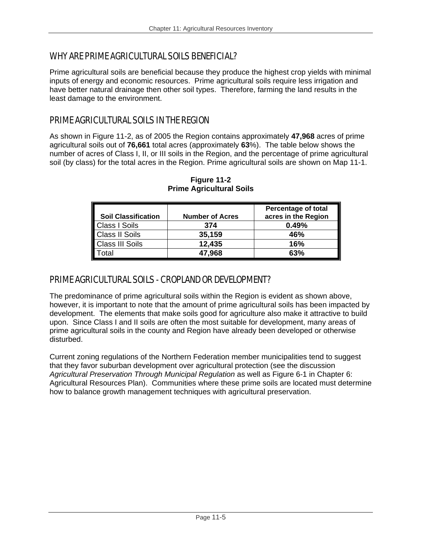## WHY ARE PRIME AGRICULTURAL SOILS BENEFICIAL?

Prime agricultural soils are beneficial because they produce the highest crop yields with minimal inputs of energy and economic resources. Prime agricultural soils require less irrigation and have better natural drainage then other soil types. Therefore, farming the land results in the least damage to the environment.

## PRIME AGRICULTURAL SOILS IN THE REGION

As shown in Figure 11-2, as of 2005 the Region contains approximately **47,968** acres of prime agricultural soils out of **76,661** total acres (approximately **63**%). The table below shows the number of acres of Class I, II, or III soils in the Region, and the percentage of prime agricultural soil (by class) for the total acres in the Region. Prime agricultural soils are shown on Map 11-1.

| <b>Soil Classification</b> | <b>Number of Acres</b> | <b>Percentage of total</b><br>acres in the Region |
|----------------------------|------------------------|---------------------------------------------------|
| <b>Class I Soils</b>       | 374                    | 0.49%                                             |
| <b>Class II Soils</b>      | 35,159                 | 46%                                               |
| <b>Class III Soils</b>     | 12,435                 | 16%                                               |
| otal                       | 47,968                 | 63%                                               |

**Figure 11-2 Prime Agricultural Soils** 

## PRIME AGRICULTURAL SOILS - CROPLAND OR DEVELOPMENT?

The predominance of prime agricultural soils within the Region is evident as shown above, however, it is important to note that the amount of prime agricultural soils has been impacted by development. The elements that make soils good for agriculture also make it attractive to build upon. Since Class I and II soils are often the most suitable for development, many areas of prime agricultural soils in the county and Region have already been developed or otherwise disturbed.

Current zoning regulations of the Northern Federation member municipalities tend to suggest that they favor suburban development over agricultural protection (see the discussion *Agricultural Preservation Through Municipal Regulation* as well as Figure 6-1 in Chapter 6: Agricultural Resources Plan). Communities where these prime soils are located must determine how to balance growth management techniques with agricultural preservation.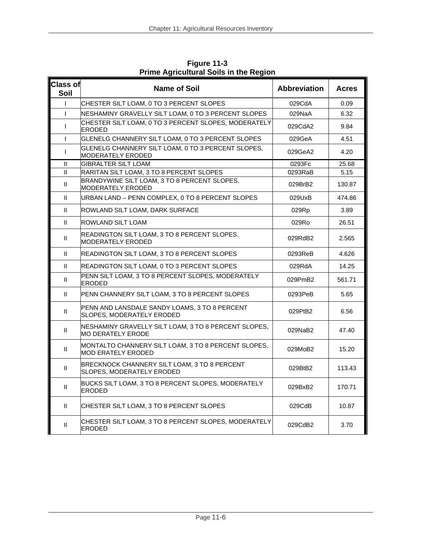| <b>Class of</b><br>Soil | <b>Name of Soil</b>                                                                  | <b>Abbreviation</b> | <b>Acres</b> |
|-------------------------|--------------------------------------------------------------------------------------|---------------------|--------------|
| $\mathsf{I}$            | CHESTER SILT LOAM, 0 TO 3 PERCENT SLOPES                                             | 029CdA              | 0.09         |
| $\mathbf{I}$            | NESHAMINY GRAVELLY SILT LOAM, 0 TO 3 PERCENT SLOPES                                  | 029NaA              | 6.32         |
| $\mathsf{I}$            | CHESTER SILT LOAM, 0 TO 3 PERCENT SLOPES, MODERATELY<br><b>ERODED</b>                | 029CdA2             | 9.84         |
| $\mathsf{I}$            | GLENELG CHANNERY SILT LOAM, 0 TO 3 PERCENT SLOPES                                    | 029GeA              | 4.51         |
| $\mathsf{I}$            | GLENELG CHANNERY SILT LOAM, 0 TO 3 PERCENT SLOPES,<br><b>MODERATELY ERODED</b>       | 029GeA2             | 4.20         |
| $\mathbf{H}$            | <b>GIBRALTER SILT LOAM</b>                                                           | 0293Fc              | 25.68        |
| Ш                       | RARITAN SILT LOAM, 3 TO 8 PERCENT SLOPES                                             | 0293RaB             | 5.15         |
| $\mathbf{H}$            | BRANDYWINE SILT LOAM, 3 TO 8 PERCENT SLOPES,<br>MODERATELY ERODED                    | 029BrB2             | 130.87       |
| $\mathbf{H}$            | URBAN LAND - PENN COMPLEX, 0 TO 8 PERCENT SLOPES                                     | 029UxB              | 474.86       |
| $\mathbf{H}$            | ROWLAND SILT LOAM, DARK SURFACE                                                      | 029Rp               | 3.89         |
| $\mathbf{H}$            | ROWLAND SILT LOAM<br>029Ro                                                           |                     | 26.51        |
| $\mathbf{H}$            | READINGTON SILT LOAM, 3 TO 8 PERCENT SLOPES,<br>MODERATELY ERODED                    | 029RdB2             | 2.565        |
| Ш                       | READINGTON SILT LOAM, 3 TO 8 PERCENT SLOPES                                          | $0293$ ReB          | 4.626        |
| $\mathbf{H}$            | READINGTON SILT LOAM, 0 TO 3 PERCENT SLOPES                                          | 029RdA              | 14.25        |
| $\mathbf{H}$            | PENN SILT LOAM, 3 TO 8 PERCENT SLOPES, MODERATELY<br>029PmB2<br><b>ERODED</b>        |                     | 561.71       |
| $\mathbf{H}$            | PENN CHANNERY SILT LOAM, 3 TO 8 PERCENT SLOPES                                       | 0293PeB             | 5.65         |
| $\mathbf{H}$            | PENN AND LANSDALE SANDY LOAMS, 3 TO 8 PERCENT<br>SLOPES, MODERATELY ERODED           | 029PtB2             |              |
| $\mathbf{H}$            | NESHAMINY GRAVELLY SILT LOAM, 3 TO 8 PERCENT SLOPES,<br><b>MO DERATELY ERODE</b>     | 029NaB2             |              |
| $\mathbf{H}$            | MONTALTO CHANNERY SILT LOAM, 3 TO 8 PERCENT SLOPES,<br><b>MOD ERATELY ERODED</b>     | 029MoB2             |              |
| $\mathbf{H}$            | BRECKNOCK CHANNERY SILT LOAM, 3 TO 8 PERCENT<br>029BtB2<br>SLOPES, MODERATELY ERODED |                     | 113.43       |
| $\mathbf{H}$            | BUCKS SILT LOAM, 3 TO 8 PERCENT SLOPES, MODERATELY<br><b>ERODED</b>                  | 029BxB2             | 170.71       |
| $\mathbf{H}$            | CHESTER SILT LOAM, 3 TO 8 PERCENT SLOPES                                             | 029CdB              | 10.87        |
| Ш                       | CHESTER SILT LOAM, 3 TO 8 PERCENT SLOPES, MODERATELY<br>029CdB2<br><b>ERODED</b>     |                     | 3.70         |

**Figure 11-3 Prime Agricultural Soils in the Region**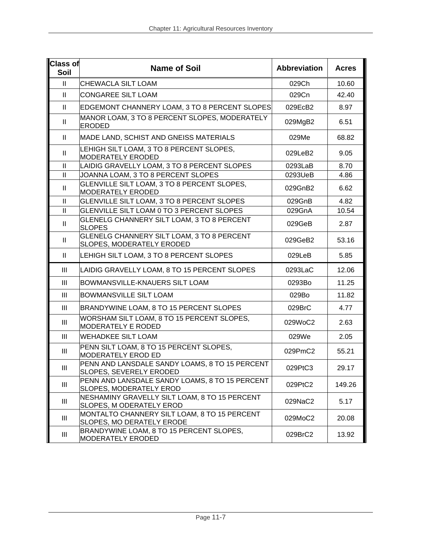| <b>Class of</b><br>Soil    | <b>Name of Soil</b>                                                              | <b>Abbreviation</b> | <b>Acres</b> |
|----------------------------|----------------------------------------------------------------------------------|---------------------|--------------|
| $\mathbf{H}$               | CHEWACLA SILT LOAM                                                               | 029Ch               | 10.60        |
| $\mathbf{H}$               | <b>CONGAREE SILT LOAM</b>                                                        | 029Cn               | 42.40        |
| $\ensuremath{\mathsf{II}}$ | EDGEMONT CHANNERY LOAM, 3 TO 8 PERCENT SLOPES                                    | 029EcB2             | 8.97         |
| $\mathbf{H}$               | MANOR LOAM, 3 TO 8 PERCENT SLOPES, MODERATELY<br><b>ERODED</b>                   | 029MgB2             | 6.51         |
| Ш                          | MADE LAND, SCHIST AND GNEISS MATERIALS                                           | 029Me               | 68.82        |
| Ш                          | LEHIGH SILT LOAM, 3 TO 8 PERCENT SLOPES,<br><b>MODERATELY ERODED</b>             | 029LeB2             | 9.05         |
| $\mathbf{II}$              | LAIDIG GRAVELLY LOAM, 3 TO 8 PERCENT SLOPES                                      | 0293LaB             | 8.70         |
| $\ensuremath{\mathsf{II}}$ | JOANNA LOAM, 3 TO 8 PERCENT SLOPES                                               | 0293UeB             | 4.86         |
| Ш                          | GLENVILLE SILT LOAM, 3 TO 8 PERCENT SLOPES,<br><b>MODERATELY ERODED</b>          | 029GnB2             | 6.62         |
| $\mathbf{II}$              | GLENVILLE SILT LOAM, 3 TO 8 PERCENT SLOPES                                       | 029GnB              | 4.82         |
| $\rm H$                    | GLENVILLE SILT LOAM 0 TO 3 PERCENT SLOPES                                        | 029GnA              | 10.54        |
| Ш                          | GLENELG CHANNERY SILT LOAM, 3 TO 8 PERCENT<br><b>SLOPES</b>                      | 029GeB              | 2.87         |
| Ш                          | GLENELG CHANNERY SILT LOAM, 3 TO 8 PERCENT<br>SLOPES, MODERATELY ERODED          | 029GeB2             | 53.16        |
| $\mathbf{H}$               | LEHIGH SILT LOAM, 3 TO 8 PERCENT SLOPES                                          | 029LeB              | 5.85         |
| $\mathbf{III}$             | LAIDIG GRAVELLY LOAM, 8 TO 15 PERCENT SLOPES                                     | 0293LaC             | 12.06        |
| III                        | BOWMANSVILLE-KNAUERS SILT LOAM                                                   | 0293Bo              | 11.25        |
| III                        | <b>BOWMANSVILLE SILT LOAM</b>                                                    | 029Bo               | 11.82        |
| $\mathbf{III}$             | BRANDYWINE LOAM, 8 TO 15 PERCENT SLOPES                                          | 029BrC              | 4.77         |
| $\mathbf{III}$             | WORSHAM SILT LOAM, 8 TO 15 PERCENT SLOPES,<br><b>MODERATELY E RODED</b>          | 029WoC2             | 2.63         |
| III                        | <b>WEHADKEE SILT LOAM</b>                                                        | 029We               | 2.05         |
| Ш                          | PENN SILT LOAM, 8 TO 15 PERCENT SLOPES,<br><b>MODERATELY EROD ED</b>             | 029PmC2             | 55.21        |
| $\mathop{\rm III}$         | PENN AND LANSDALE SANDY LOAMS, 8 TO 15 PERCENT<br><b>SLOPES, SEVERELY ERODED</b> | 029PtC3             | 29.17        |
| $\mathop{\rm III}$         | PENN AND LANSDALE SANDY LOAMS, 8 TO 15 PERCENT<br>SLOPES, MODERATELY EROD        | 029PtC2             | 149.26       |
| $\mathop{\rm III}$         | NESHAMINY GRAVELLY SILT LOAM, 8 TO 15 PERCENT<br>SLOPES, M ODERATELY EROD        | 029NaC2             | 5.17         |
| $\mathbf{III}$             | MONTALTO CHANNERY SILT LOAM, 8 TO 15 PERCENT<br>SLOPES, MO DERATELY ERODE        | 029MoC2             | 20.08        |
| $\mathop{\rm III}$         | BRANDYWINE LOAM, 8 TO 15 PERCENT SLOPES,<br>MODERATELY ERODED                    | 029BrC2             | 13.92        |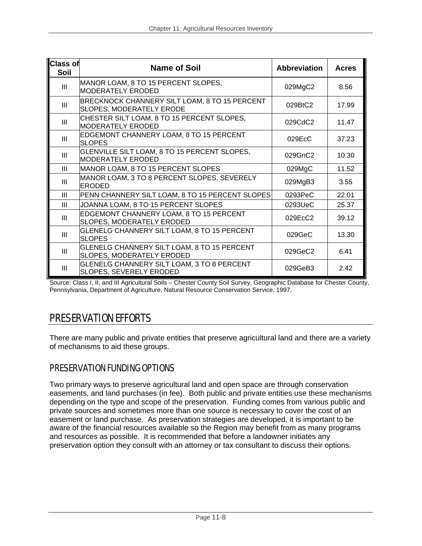| Class of<br>Soil | <b>Name of Soil</b>                                                              | <b>Abbreviation</b> | <b>Acres</b> |
|------------------|----------------------------------------------------------------------------------|---------------------|--------------|
| III              | MANOR LOAM, 8 TO 15 PERCENT SLOPES,<br><b>MODERATELY ERODED</b>                  | 029MgC2             | 8.56         |
| III              | BRECKNOCK CHANNERY SILT LOAM, 8 TO 15 PERCENT<br><b>SLOPES, MODERATELY ERODE</b> | 029BtC2             | 17.99        |
| III              | CHESTER SILT LOAM, 8 TO 15 PERCENT SLOPES,<br><b>MODERATELY ERODED</b>           | 029CdC2             | 11.47        |
| III              | EDGEMONT CHANNERY LOAM, 8 TO 15 PERCENT<br><b>SLOPES</b>                         | 029EcC              |              |
| Ш                | GLENVILLE SILT LOAM, 8 TO 15 PERCENT SLOPES,<br>MODERATELY ERODED                | 029GnC2             | 10.30        |
| Ш                | MANOR LOAM, 8 TO 15 PERCENT SLOPES                                               | 029MgC              | 11.52        |
| Ш                | MANOR LOAM, 3 TO 8 PERCENT SLOPES, SEVERELY<br><b>ERODED</b>                     | 029MgB3             | 3.55         |
| Ш                | PENN CHANNERY SILT LOAM, 8 TO 15 PERCENT SLOPES                                  | 0293PeC             | 22.01        |
| Ш                | JOANNA LOAM, 8 TO 15 PERCENT SLOPES                                              | 0293UeC             | 25.37        |
| III              | EDGEMONT CHANNERY LOAM, 8 TO 15 PERCENT<br><b>SLOPES, MODERATELY ERODED</b>      | 029EcC2             | 39.12        |
| III              | GLENELG CHANNERY SILT LOAM, 8 TO 15 PERCENT<br>029GeC<br><b>SLOPES</b>           |                     | 13.30        |
| III              | GLENELG CHANNERY SILT LOAM, 8 TO 15 PERCENT<br><b>SLOPES, MODERATELY ERODED</b>  | 029GeC2             | 6.41         |
| III              | <b>GLENELG CHANNERY SILT LOAM, 3 TO 8 PERCENT</b><br>SLOPES, SEVERELY ERODED     | 029GeB3             | 2.42         |

Source: Class I, II, and III Agricultural Soils – Chester County Soil Survey, Geographic Database for Chester County, Pennsylvania, Department of Agriculture, Natural Resource Conservation Service, 1997.

# PRESERVATION EFFORTS

There are many public and private entities that preserve agricultural land and there are a variety of mechanisms to aid these groups.

## PRESERVATION FUNDING OPTIONS

Two primary ways to preserve agricultural land and open space are through conservation easements, and land purchases (in fee). Both public and private entities use these mechanisms depending on the type and scope of the preservation. Funding comes from various public and private sources and sometimes more than one source is necessary to cover the cost of an easement or land purchase. As preservation strategies are developed, it is important to be aware of the financial resources available so the Region may benefit from as many programs and resources as possible. It is recommended that before a landowner initiates any preservation option they consult with an attorney or tax consultant to discuss their options.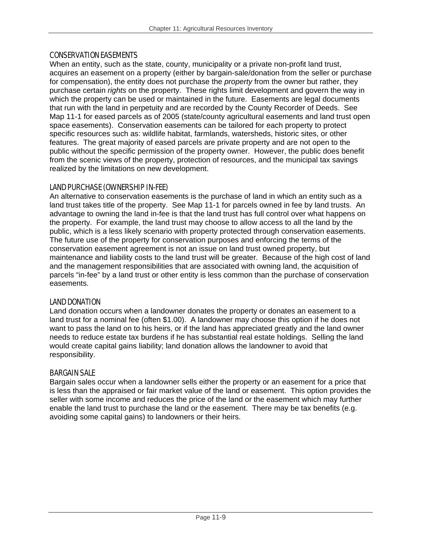#### CONSERVATION EASEMENTS

When an entity, such as the state, county, municipality or a private non-profit land trust, acquires an easement on a property (either by bargain-sale/donation from the seller or purchase for compensation), the entity does not purchase the *property* from the owner but rather, they purchase certain *rights* on the property. These rights limit development and govern the way in which the property can be used or maintained in the future. Easements are legal documents that run with the land in perpetuity and are recorded by the County Recorder of Deeds. See Map 11-1 for eased parcels as of 2005 (state/county agricultural easements and land trust open space easements). Conservation easements can be tailored for each property to protect specific resources such as: wildlife habitat, farmlands, watersheds, historic sites, or other features. The great majority of eased parcels are private property and are not open to the public without the specific permission of the property owner. However, the public does benefit from the scenic views of the property, protection of resources, and the municipal tax savings realized by the limitations on new development.

### LAND PURCHASE (OWNERSHIP IN-FEE)

An alternative to conservation easements is the purchase of land in which an entity such as a land trust takes title of the property. See Map 11-1 for parcels owned in fee by land trusts. An advantage to owning the land in-fee is that the land trust has full control over what happens on the property. For example, the land trust may choose to allow access to all the land by the public, which is a less likely scenario with property protected through conservation easements. The future use of the property for conservation purposes and enforcing the terms of the conservation easement agreement is not an issue on land trust owned property, but maintenance and liability costs to the land trust will be greater. Because of the high cost of land and the management responsibilities that are associated with owning land, the acquisition of parcels "in-fee" by a land trust or other entity is less common than the purchase of conservation easements.

### LAND DONATION

Land donation occurs when a landowner donates the property or donates an easement to a land trust for a nominal fee (often \$1.00). A landowner may choose this option if he does not want to pass the land on to his heirs, or if the land has appreciated greatly and the land owner needs to reduce estate tax burdens if he has substantial real estate holdings. Selling the land would create capital gains liability; land donation allows the landowner to avoid that responsibility.

### BARGAIN SALE

Bargain sales occur when a landowner sells either the property or an easement for a price that is less than the appraised or fair market value of the land or easement. This option provides the seller with some income and reduces the price of the land or the easement which may further enable the land trust to purchase the land or the easement. There may be tax benefits (e.g. avoiding some capital gains) to landowners or their heirs.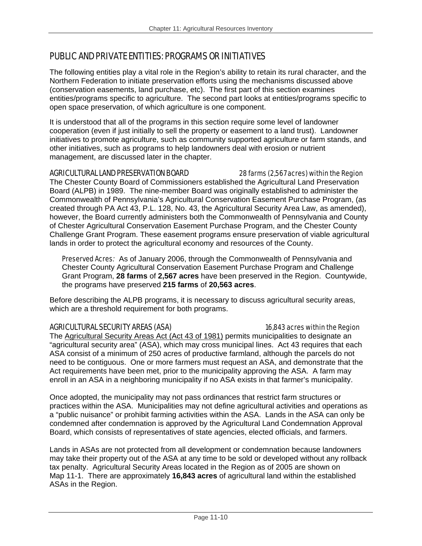## PUBLIC AND PRIVATE ENTITIES: PROGRAMS OR INITIATIVES

The following entities play a vital role in the Region's ability to retain its rural character, and the Northern Federation to initiate preservation efforts using the mechanisms discussed above (conservation easements, land purchase, etc). The first part of this section examines entities/programs specific to agriculture. The second part looks at entities/programs specific to open space preservation, of which agriculture is one component.

It is understood that all of the programs in this section require some level of landowner cooperation (even if just initially to sell the property or easement to a land trust). Landowner initiatives to promote agriculture, such as community supported agriculture or farm stands, and other initiatives, such as programs to help landowners deal with erosion or nutrient management, are discussed later in the chapter.

#### AGRICULTURAL LAND PRESERVATION BOARD 28 farms (2,567 acres) within the Region

The Chester County Board of Commissioners established the Agricultural Land Preservation Board (ALPB) in 1989. The nine-member Board was originally established to administer the Commonwealth of Pennsylvania's Agricultural Conservation Easement Purchase Program, (as created through PA Act 43, P.L. 128, No. 43, the Agricultural Security Area Law, as amended), however, the Board currently administers both the Commonwealth of Pennsylvania and County of Chester Agricultural Conservation Easement Purchase Program, and the Chester County Challenge Grant Program. These easement programs ensure preservation of viable agricultural lands in order to protect the agricultural economy and resources of the County.

Preserved Acres*:* As of January 2006, through the Commonwealth of Pennsylvania and Chester County Agricultural Conservation Easement Purchase Program and Challenge Grant Program, **28 farms** of **2,567 acres** have been preserved in the Region. Countywide, the programs have preserved **215 farms** of **20,563 acres**.

Before describing the ALPB programs, it is necessary to discuss agricultural security areas, which are a threshold requirement for both programs.

### AGRICULTURAL SECURITY AREAS (ASA) 16,843 acres within the Region

The Agricultural Security Areas Act (Act 43 of 1981) permits municipalities to designate an "agricultural security area" (ASA), which may cross municipal lines. Act 43 requires that each ASA consist of a minimum of 250 acres of productive farmland, although the parcels do not need to be contiguous. One or more farmers must request an ASA, and demonstrate that the Act requirements have been met, prior to the municipality approving the ASA. A farm may enroll in an ASA in a neighboring municipality if no ASA exists in that farmer's municipality.

Once adopted, the municipality may not pass ordinances that restrict farm structures or practices within the ASA. Municipalities may not define agricultural activities and operations as a "public nuisance" or prohibit farming activities within the ASA. Lands in the ASA can only be condemned after condemnation is approved by the Agricultural Land Condemnation Approval Board, which consists of representatives of state agencies, elected officials, and farmers.

Lands in ASAs are not protected from all development or condemnation because landowners may take their property out of the ASA at any time to be sold or developed without any rollback tax penalty. Agricultural Security Areas located in the Region as of 2005 are shown on Map 11-1. There are approximately **16,843 acres** of agricultural land within the established ASAs in the Region.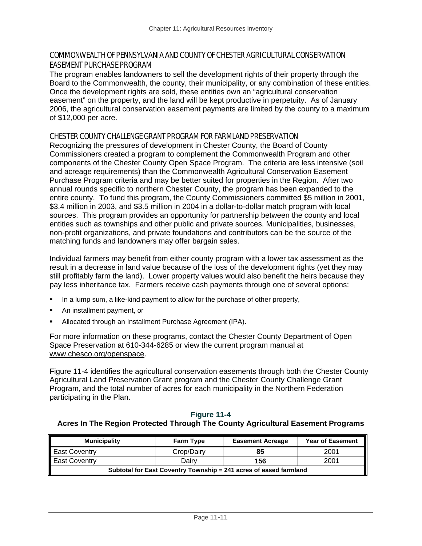## COMMONWEALTH OF PENNSYLVANIA AND COUNTY OF CHESTER AGRICULTURAL CONSERVATION EASEMENT PURCHASE PROGRAM

The program enables landowners to sell the development rights of their property through the Board to the Commonwealth, the county, their municipality, or any combination of these entities. Once the development rights are sold, these entities own an "agricultural conservation easement" on the property, and the land will be kept productive in perpetuity. As of January 2006, the agricultural conservation easement payments are limited by the county to a maximum of \$12,000 per acre.

## CHESTER COUNTY CHALLENGE GRANT PROGRAM FOR FARMLAND PRESERVATION

Recognizing the pressures of development in Chester County, the Board of County Commissioners created a program to complement the Commonwealth Program and other components of the Chester County Open Space Program. The criteria are less intensive (soil and acreage requirements) than the Commonwealth Agricultural Conservation Easement Purchase Program criteria and may be better suited for properties in the Region. After two annual rounds specific to northern Chester County, the program has been expanded to the entire county. To fund this program, the County Commissioners committed \$5 million in 2001, \$3.4 million in 2003, and \$3.5 million in 2004 in a dollar-to-dollar match program with local sources. This program provides an opportunity for partnership between the county and local entities such as townships and other public and private sources. Municipalities, businesses, non-profit organizations, and private foundations and contributors can be the source of the matching funds and landowners may offer bargain sales.

Individual farmers may benefit from either county program with a lower tax assessment as the result in a decrease in land value because of the loss of the development rights (yet they may still profitably farm the land). Lower property values would also benefit the heirs because they pay less inheritance tax. Farmers receive cash payments through one of several options:

- In a lump sum, a like-kind payment to allow for the purchase of other property,
- An installment payment, or
- Allocated through an Installment Purchase Agreement (IPA).

For more information on these programs, contact the Chester County Department of Open Space Preservation at 610-344-6285 or view the current program manual at www.chesco.org/openspace.

Figure 11-4 identifies the agricultural conservation easements through both the Chester County Agricultural Land Preservation Grant program and the Chester County Challenge Grant Program, and the total number of acres for each municipality in the Northern Federation participating in the Plan.

## **Figure 11-4**

## **Acres In The Region Protected Through The County Agricultural Easement Programs**

| <b>Municipality</b>                                               | <b>Farm Type</b> | <b>Easement Acreage</b> | <b>Year of Easement</b> |
|-------------------------------------------------------------------|------------------|-------------------------|-------------------------|
| <b>East Coventry</b>                                              | Crop/Dairy       | 85                      | 2001                    |
| <b>East Coventry</b>                                              | Dairv            | 156                     | 2001                    |
| Subtotal for East Coventry Township = 241 acres of eased farmland |                  |                         |                         |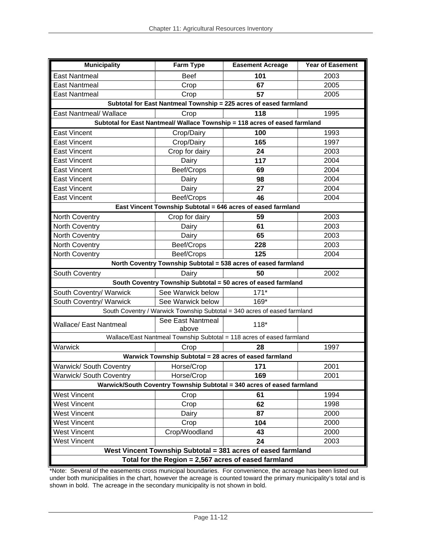| <b>Municipality</b><br><b>Farm Type</b><br><b>Easement Acreage</b><br><b>Year of Easement</b> |                            |                                                                            |      |  |  |
|-----------------------------------------------------------------------------------------------|----------------------------|----------------------------------------------------------------------------|------|--|--|
| <b>East Nantmeal</b>                                                                          | <b>Beef</b>                | 101                                                                        | 2003 |  |  |
| <b>East Nantmeal</b>                                                                          | Crop                       | 67                                                                         | 2005 |  |  |
| <b>East Nantmeal</b>                                                                          | Crop                       | 57                                                                         | 2005 |  |  |
|                                                                                               |                            | Subtotal for East Nantmeal Township = 225 acres of eased farmland          |      |  |  |
| East Nantmeal/ Wallace                                                                        | Crop                       | 118                                                                        | 1995 |  |  |
|                                                                                               |                            | Subtotal for East Nantmeal/ Wallace Township = 118 acres of eased farmland |      |  |  |
| <b>East Vincent</b>                                                                           | Crop/Dairy                 | 100                                                                        | 1993 |  |  |
| <b>East Vincent</b>                                                                           | Crop/Dairy                 | 165                                                                        | 1997 |  |  |
| East Vincent                                                                                  | Crop for dairy             | 24                                                                         | 2003 |  |  |
| East Vincent                                                                                  | Dairy                      | 117                                                                        | 2004 |  |  |
| <b>East Vincent</b>                                                                           | Beef/Crops                 | 69                                                                         | 2004 |  |  |
| <b>East Vincent</b>                                                                           | Dairy                      | 98                                                                         | 2004 |  |  |
| <b>East Vincent</b>                                                                           | Dairy                      | 27                                                                         | 2004 |  |  |
| East Vincent                                                                                  | Beef/Crops                 | 46                                                                         | 2004 |  |  |
|                                                                                               |                            | East Vincent Township Subtotal = 646 acres of eased farmland               |      |  |  |
| North Coventry                                                                                | Crop for dairy             | 59                                                                         | 2003 |  |  |
| North Coventry                                                                                | Dairy                      | 61                                                                         | 2003 |  |  |
| North Coventry                                                                                | Dairy                      | 65                                                                         | 2003 |  |  |
| North Coventry                                                                                | Beef/Crops                 | 228                                                                        | 2003 |  |  |
| North Coventry                                                                                | Beef/Crops                 | 125                                                                        | 2004 |  |  |
|                                                                                               |                            | North Coventry Township Subtotal = 538 acres of eased farmland             |      |  |  |
| South Coventry                                                                                | Dairy                      | 50                                                                         | 2002 |  |  |
|                                                                                               |                            | South Coventry Township Subtotal = 50 acres of eased farmland              |      |  |  |
| South Coventry/ Warwick                                                                       | See Warwick below          | $171*$                                                                     |      |  |  |
| South Coventry/ Warwick                                                                       | See Warwick below          | 169*                                                                       |      |  |  |
|                                                                                               |                            | South Coventry / Warwick Township Subtotal = 340 acres of eased farmland   |      |  |  |
| <b>Wallace/ East Nantmeal</b>                                                                 | See East Nantmeal<br>above | $118*$                                                                     |      |  |  |
|                                                                                               |                            | Wallace/East Nantmeal Township Subtotal = 118 acres of eased farmland      |      |  |  |
| Warwick                                                                                       | Crop                       | 28                                                                         | 1997 |  |  |
|                                                                                               |                            | Warwick Township Subtotal = 28 acres of eased farmland                     |      |  |  |
| Warwick/ South Coventry                                                                       | Horse/Crop                 | 171                                                                        | 2001 |  |  |
| Warwick/ South Coventry                                                                       | Horse/Crop                 | 169                                                                        | 2001 |  |  |
| Warwick/South Coventry Township Subtotal = 340 acres of eased farmland                        |                            |                                                                            |      |  |  |
| <b>West Vincent</b>                                                                           | Crop                       | 61                                                                         | 1994 |  |  |
| <b>West Vincent</b>                                                                           | Crop                       | 62                                                                         | 1998 |  |  |
| <b>West Vincent</b>                                                                           | Dairy                      | 87                                                                         | 2000 |  |  |
| <b>West Vincent</b>                                                                           | Crop                       | 104                                                                        | 2000 |  |  |
| <b>West Vincent</b>                                                                           | Crop/Woodland              | 43                                                                         | 2000 |  |  |
| <b>West Vincent</b>                                                                           |                            | 24                                                                         | 2003 |  |  |
|                                                                                               |                            | West Vincent Township Subtotal = 381 acres of eased farmland               |      |  |  |
| Total for the Region = 2,567 acres of eased farmland                                          |                            |                                                                            |      |  |  |

\*Note: Several of the easements cross municipal boundaries. For convenience, the acreage has been listed out under both municipalities in the chart, however the acreage is counted toward the primary municipality's total and is shown in bold. The acreage in the secondary municipality is not shown in bold.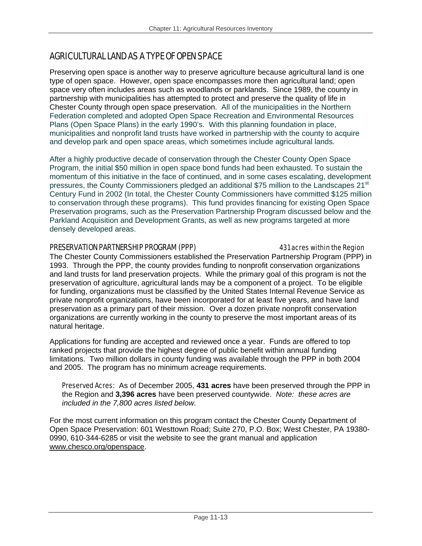## AGRICULTURAL LAND AS A TYPE OF OPEN SPACE

Preserving open space is another way to preserve agriculture because agricultural land is one type of open space. However, open space encompasses more then agricultural land; open space very often includes areas such as woodlands or parklands. Since 1989, the county in partnership with municipalities has attempted to protect and preserve the quality of life in Chester County through open space preservation. All of the municipalities in the Northern Federation completed and adopted Open Space Recreation and Environmental Resources Plans (Open Space Plans) in the early 1990's. With this planning foundation in place, municipalities and nonprofit land trusts have worked in partnership with the county to acquire and develop park and open space areas, which sometimes include agricultural lands.

After a highly productive decade of conservation through the Chester County Open Space Program, the initial \$50 million in open space bond funds had been exhausted. To sustain the momentum of this initiative in the face of continued, and in some cases escalating, development pressures, the County Commissioners pledged an additional \$75 million to the Landscapes 21<sup>st</sup> Century Fund in 2002 (In total, the Chester County Commissioners have committed \$125 million to conservation through these programs). This fund provides financing for existing Open Space Preservation programs, such as the Preservation Partnership Program discussed below and the Parkland Acquisition and Development Grants, as well as new programs targeted at more densely developed areas.

### PRESERVATION PARTNERSHIP PROGRAM (PPP) 431 acres within the Region

The Chester County Commissioners established the Preservation Partnership Program (PPP) in 1993. Through the PPP, the county provides funding to nonprofit conservation organizations and land trusts for land preservation projects. While the primary goal of this program is not the preservation of agriculture, agricultural lands may be a component of a project. To be eligible for funding, organizations must be classified by the United States Internal Revenue Service as private nonprofit organizations, have been incorporated for at least five years, and have land preservation as a primary part of their mission. Over a dozen private nonprofit conservation organizations are currently working in the county to preserve the most important areas of its natural heritage.

Applications for funding are accepted and reviewed once a year. Funds are offered to top ranked projects that provide the highest degree of public benefit within annual funding limitations. Two million dollars in county funding was available through the PPP in both 2004 and 2005. The program has no minimum acreage requirements.

Preserved Acres:As of December 2005, **431 acres** have been preserved through the PPP in the Region and **3,396 acres** have been preserved countywide. *Note: these acres are included in the 7,800 acres listed below.*

For the most current information on this program contact the Chester County Department of Open Space Preservation: 601 Westtown Road; Suite 270, P.O. Box; West Chester, PA 19380- 0990, 610-344-6285 or visit the website to see the grant manual and application www.chesco.org/openspace.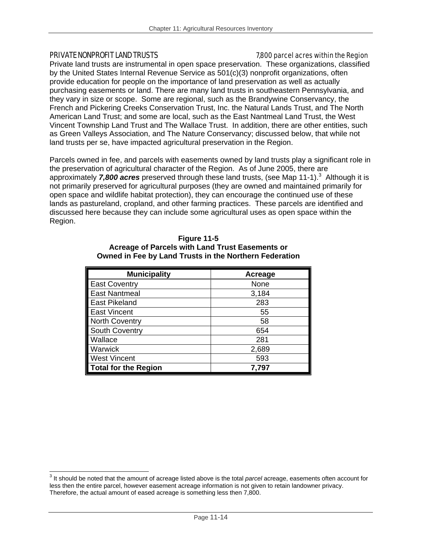#### PRIVATE NONPROFIT LAND TRUSTS THE REGION CONSTRUCTION CONSIDERING THE REGION CONSTRUCTION OF PRIVATE SCHOOL ST

 $\overline{a}$ 

Private land trusts are instrumental in open space preservation. These organizations, classified by the United States Internal Revenue Service as 501(c)(3) nonprofit organizations, often provide education for people on the importance of land preservation as well as actually purchasing easements or land. There are many land trusts in southeastern Pennsylvania, and they vary in size or scope. Some are regional, such as the Brandywine Conservancy, the French and Pickering Creeks Conservation Trust, Inc. the Natural Lands Trust, and The North American Land Trust; and some are local, such as the East Nantmeal Land Trust, the West Vincent Township Land Trust and The Wallace Trust. In addition, there are other entities, such as Green Valleys Association, and The Nature Conservancy; discussed below, that while not land trusts per se, have impacted agricultural preservation in the Region.

Parcels owned in fee, and parcels with easements owned by land trusts play a significant role in the preservation of agricultural character of the Region. As of June 2005, there are approximately 7,800 acres preserved through these land trusts, (see Map 11-1).<sup>3</sup> Although it is not primarily preserved for agricultural purposes (they are owned and maintained primarily for open space and wildlife habitat protection), they can encourage the continued use of these lands as pastureland, cropland, and other farming practices. These parcels are identified and discussed here because they can include some agricultural uses as open space within the Region.

| <b>Municipality</b>   | Acreage |
|-----------------------|---------|
| <b>East Coventry</b>  | None    |
| <b>East Nantmeal</b>  | 3,184   |
| <b>East Pikeland</b>  | 283     |
| <b>East Vincent</b>   | 55      |
| <b>North Coventry</b> | 58      |
| <b>South Coventry</b> | 654     |
| Wallace               | 281     |
| Warwick               | 2,689   |
| <b>West Vincent</b>   | 593     |
| Total for the Region  | 7.797   |

#### **Figure 11-5 Acreage of Parcels with Land Trust Easements or Owned in Fee by Land Trusts in the Northern Federation**

<sup>3</sup> It should be noted that the amount of acreage listed above is the total *parcel* acreage, easements often account for less then the entire parcel, however easement acreage information is not given to retain landowner privacy. Therefore, the actual amount of eased acreage is something less then 7,800.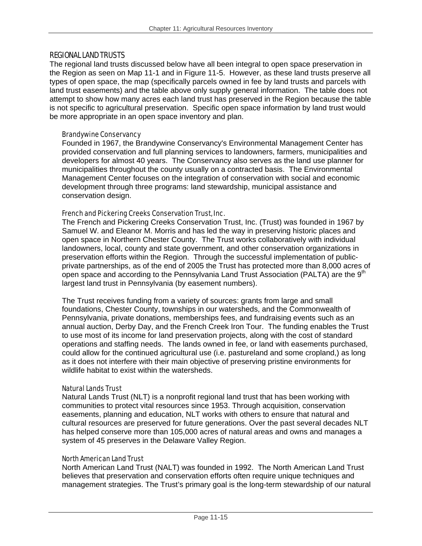#### REGIONAL LAND TRUSTS

The regional land trusts discussed below have all been integral to open space preservation in the Region as seen on Map 11-1 and in Figure 11-5. However, as these land trusts preserve all types of open space, the map (specifically parcels owned in fee by land trusts and parcels with land trust easements) and the table above only supply general information. The table does not attempt to show how many acres each land trust has preserved in the Region because the table is not specific to agricultural preservation. Specific open space information by land trust would be more appropriate in an open space inventory and plan.

#### Brandywine Conservancy

Founded in 1967, the Brandywine Conservancy's Environmental Management Center has provided conservation and full planning services to landowners, farmers, municipalities and developers for almost 40 years. The Conservancy also serves as the land use planner for municipalities throughout the county usually on a contracted basis. The Environmental Management Center focuses on the integration of conservation with social and economic development through three programs: land stewardship, municipal assistance and conservation design.

#### French and Pickering Creeks Conservation Trust, Inc.

The French and Pickering Creeks Conservation Trust, Inc. (Trust) was founded in 1967 by Samuel W. and Eleanor M. Morris and has led the way in preserving historic places and open space in Northern Chester County. The Trust works collaboratively with individual landowners, local, county and state government, and other conservation organizations in preservation efforts within the Region. Through the successful implementation of publicprivate partnerships, as of the end of 2005 the Trust has protected more than 8,000 acres of open space and according to the Pennsylvania Land Trust Association (PALTA) are the  $9<sup>th</sup>$ largest land trust in Pennsylvania (by easement numbers).

The Trust receives funding from a variety of sources: grants from large and small foundations, Chester County, townships in our watersheds, and the Commonwealth of Pennsylvania, private donations, memberships fees, and fundraising events such as an annual auction, Derby Day, and the French Creek Iron Tour. The funding enables the Trust to use most of its income for land preservation projects, along with the cost of standard operations and staffing needs. The lands owned in fee, or land with easements purchased, could allow for the continued agricultural use (i.e. pastureland and some cropland,) as long as it does not interfere with their main objective of preserving pristine environments for wildlife habitat to exist within the watersheds.

#### Natural Lands Trust

Natural Lands Trust (NLT) is a nonprofit regional land trust that has been working with communities to protect vital resources since 1953. Through acquisition, conservation easements, planning and education, NLT works with others to ensure that natural and cultural resources are preserved for future generations. Over the past several decades NLT has helped conserve more than 105,000 acres of natural areas and owns and manages a system of 45 preserves in the Delaware Valley Region.

#### North American Land Trust

North American Land Trust (NALT) was founded in 1992. The North American Land Trust believes that preservation and conservation efforts often require unique techniques and management strategies. The Trust's primary goal is the long-term stewardship of our natural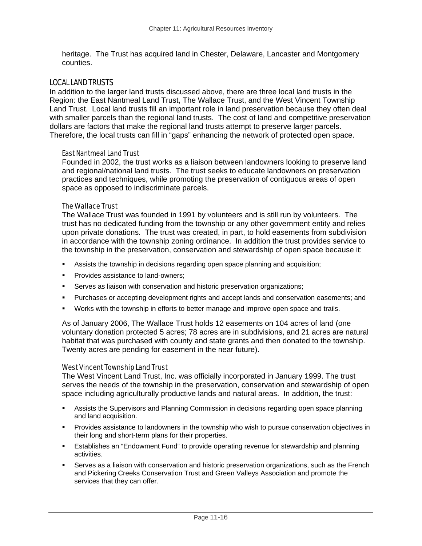heritage. The Trust has acquired land in Chester, Delaware, Lancaster and Montgomery counties.

#### LOCAL LAND TRUSTS

In addition to the larger land trusts discussed above, there are three local land trusts in the Region: the East Nantmeal Land Trust, The Wallace Trust, and the West Vincent Township Land Trust. Local land trusts fill an important role in land preservation because they often deal with smaller parcels than the regional land trusts. The cost of land and competitive preservation dollars are factors that make the regional land trusts attempt to preserve larger parcels. Therefore, the local trusts can fill in "gaps" enhancing the network of protected open space.

#### East Nantmeal Land Trust

Founded in 2002, the trust works as a liaison between landowners looking to preserve land and regional/national land trusts. The trust seeks to educate landowners on preservation practices and techniques, while promoting the preservation of contiguous areas of open space as opposed to indiscriminate parcels.

#### The Wallace Trust

The Wallace Trust was founded in 1991 by volunteers and is still run by volunteers. The trust has no dedicated funding from the township or any other government entity and relies upon private donations. The trust was created, in part, to hold easements from subdivision in accordance with the township zoning ordinance. In addition the trust provides service to the township in the preservation, conservation and stewardship of open space because it:

- Assists the township in decisions regarding open space planning and acquisition;
- **Provides assistance to land-owners:**
- Serves as liaison with conservation and historic preservation organizations;
- Purchases or accepting development rights and accept lands and conservation easements; and
- **Works with the township in efforts to better manage and improve open space and trails.**

As of January 2006, The Wallace Trust holds 12 easements on 104 acres of land (one voluntary donation protected 5 acres; 78 acres are in subdivisions, and 21 acres are natural habitat that was purchased with county and state grants and then donated to the township. Twenty acres are pending for easement in the near future).

#### West Vincent Township Land Trust

The West Vincent Land Trust, Inc. was officially incorporated in January 1999. The trust serves the needs of the township in the preservation, conservation and stewardship of open space including agriculturally productive lands and natural areas. In addition, the trust:

- Assists the Supervisors and Planning Commission in decisions regarding open space planning and land acquisition.
- **Provides assistance to landowners in the township who wish to pursue conservation objectives in** their long and short-term plans for their properties.
- Establishes an "Endowment Fund" to provide operating revenue for stewardship and planning activities.
- Serves as a liaison with conservation and historic preservation organizations, such as the French and Pickering Creeks Conservation Trust and Green Valleys Association and promote the services that they can offer.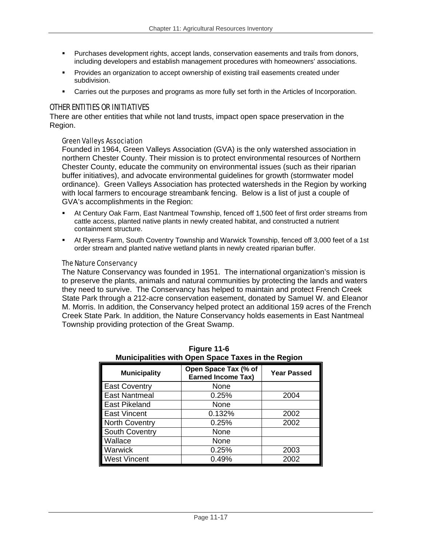- Purchases development rights, accept lands, conservation easements and trails from donors, including developers and establish management procedures with homeowners' associations.
- **Provides an organization to accept ownership of existing trail easements created under** subdivision.
- Carries out the purposes and programs as more fully set forth in the Articles of Incorporation.

### OTHER ENTITIES OR INITIATIVES

There are other entities that while not land trusts, impact open space preservation in the Region.

#### Green Valleys Association

Founded in 1964, Green Valleys Association (GVA) is the only watershed association in northern Chester County. Their mission is to protect environmental resources of Northern Chester County, educate the community on environmental issues (such as their riparian buffer initiatives), and advocate environmental guidelines for growth (stormwater model ordinance). Green Valleys Association has protected watersheds in the Region by working with local farmers to encourage streambank fencing. Below is a list of just a couple of GVA's accomplishments in the Region:

- At Century Oak Farm, East Nantmeal Township, fenced off 1,500 feet of first order streams from cattle access, planted native plants in newly created habitat, and constructed a nutrient containment structure.
- At Ryerss Farm, South Coventry Township and Warwick Township, fenced off 3,000 feet of a 1st order stream and planted native wetland plants in newly created riparian buffer.

#### The Nature Conservancy

The Nature Conservancy was founded in 1951. The international organization's mission is to preserve the plants, animals and natural communities by protecting the lands and waters they need to survive. The Conservancy has helped to maintain and protect French Creek State Park through a 212-acre conservation easement, donated by Samuel W. and Eleanor M. Morris. In addition, the Conservancy helped protect an additional 159 acres of the French Creek State Park. In addition, the Nature Conservancy holds easements in East Nantmeal Township providing protection of the Great Swamp.

|                       | mannoipannoo mitir Opon Opaoo Taxoo in tho Rogion |                    |
|-----------------------|---------------------------------------------------|--------------------|
| <b>Municipality</b>   | Open Space Tax (% of<br><b>Earned Income Tax)</b> | <b>Year Passed</b> |
| <b>East Coventry</b>  | None                                              |                    |
| <b>East Nantmeal</b>  | 0.25%                                             | 2004               |
| <b>East Pikeland</b>  | None                                              |                    |
| <b>East Vincent</b>   | 0.132%                                            | 2002               |
| <b>North Coventry</b> | 0.25%                                             | 2002               |
| <b>South Coventry</b> | None                                              |                    |
| Wallace               | None                                              |                    |
| Warwick               | 0.25%                                             | 2003               |
| <b>West Vincent</b>   | 0.49%                                             | 2002               |

| Figure 11-6                                        |
|----------------------------------------------------|
| Municipalities with Open Space Taxes in the Region |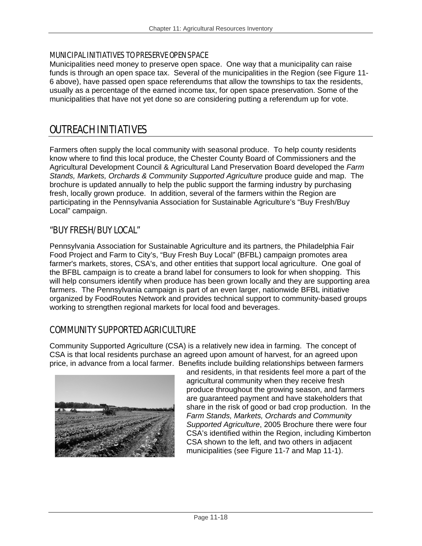#### MUNICIPAL INITIATIVES TO PRESERVE OPEN SPACE

Municipalities need money to preserve open space. One way that a municipality can raise funds is through an open space tax. Several of the municipalities in the Region (see Figure 11- 6 above), have passed open space referendums that allow the townships to tax the residents, usually as a percentage of the earned income tax, for open space preservation. Some of the municipalities that have not yet done so are considering putting a referendum up for vote.

## OUTREACH INITIATIVES

Farmers often supply the local community with seasonal produce. To help county residents know where to find this local produce, the Chester County Board of Commissioners and the Agricultural Development Council & Agricultural Land Preservation Board developed the *Farm Stands, Markets, Orchards & Community Supported Agriculture* produce guide and map. The brochure is updated annually to help the public support the farming industry by purchasing fresh, locally grown produce. In addition, several of the farmers within the Region are participating in the Pennsylvania Association for Sustainable Agriculture's "Buy Fresh/Buy Local" campaign.

## "BUY FRESH/BUY LOCAL"

Pennsylvania Association for Sustainable Agriculture and its partners, the Philadelphia Fair Food Project and Farm to City's, "Buy Fresh Buy Local" (BFBL) campaign promotes area farmer's markets, stores, CSA's, and other entities that support local agriculture. One goal of the BFBL campaign is to create a brand label for consumers to look for when shopping. This will help consumers identify when produce has been grown locally and they are supporting area farmers. The Pennsylvania campaign is part of an even larger, nationwide BFBL initiative organized by FoodRoutes Network and provides technical support to community-based groups working to strengthen regional markets for local food and beverages.

## COMMUNITY SUPPORTED AGRICULTURE

Community Supported Agriculture (CSA) is a relatively new idea in farming. The concept of CSA is that local residents purchase an agreed upon amount of harvest, for an agreed upon price, in advance from a local farmer. Benefits include building relationships between farmers



and residents, in that residents feel more a part of the agricultural community when they receive fresh produce throughout the growing season, and farmers are guaranteed payment and have stakeholders that share in the risk of good or bad crop production. In the *Farm Stands, Markets, Orchards and Community Supported Agriculture*, 2005 Brochure there were four CSA's identified within the Region, including Kimberton CSA shown to the left, and two others in adjacent municipalities (see Figure 11-7 and Map 11-1).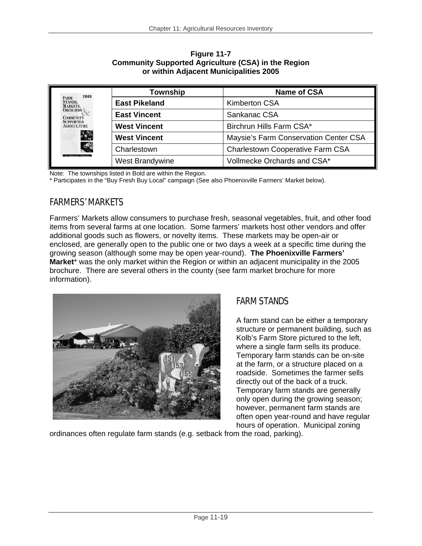| 2005<br><b>FARM</b><br>STANDS,<br><b>MARKETS,</b><br><b>ORCHARDS</b><br><b>COMMUNITY</b><br><b>SUPPORTED</b><br><b>AGRICULTURE</b><br>$\mathcal{L}_{\mathcal{D}}$<br>C<br>Chester County | Township             | <b>Name of CSA</b>                      |
|------------------------------------------------------------------------------------------------------------------------------------------------------------------------------------------|----------------------|-----------------------------------------|
|                                                                                                                                                                                          | <b>East Pikeland</b> | <b>Kimberton CSA</b>                    |
|                                                                                                                                                                                          | <b>East Vincent</b>  | Sankanac CSA                            |
|                                                                                                                                                                                          | <b>West Vincent</b>  | Birchrun Hills Farm CSA*                |
|                                                                                                                                                                                          | <b>West Vincent</b>  | Maysie's Farm Conservation Center CSA   |
|                                                                                                                                                                                          | Charlestown          | <b>Charlestown Cooperative Farm CSA</b> |
|                                                                                                                                                                                          | West Brandywine      | Vollmecke Orchards and CSA*             |

**Figure 11-7 Community Supported Agriculture (CSA) in the Region or within Adjacent Municipalities 2005** 

Note: The townships listed in Bold are within the Region.

\* Participates in the "Buy Fresh Buy Local" campaign (See also Phoenixville Farmers' Market below).

## FARMERS' MARKETS

Farmers' Markets allow consumers to purchase fresh, seasonal vegetables, fruit, and other food items from several farms at one location. Some farmers' markets host other vendors and offer additional goods such as flowers, or novelty items. These markets may be open-air or enclosed, are generally open to the public one or two days a week at a specific time during the growing season (although some may be open year-round). **The Phoenixville Farmers' Market**\* was the only market within the Region or within an adjacent municipality in the 2005 brochure. There are several others in the county (see farm market brochure for more information).



## FARM STANDS

A farm stand can be either a temporary structure or permanent building, such as Kolb's Farm Store pictured to the left, where a single farm sells its produce. Temporary farm stands can be on-site at the farm, or a structure placed on a roadside. Sometimes the farmer sells directly out of the back of a truck. Temporary farm stands are generally only open during the growing season; however, permanent farm stands are often open year-round and have regular hours of operation. Municipal zoning

ordinances often regulate farm stands (e.g. setback from the road, parking).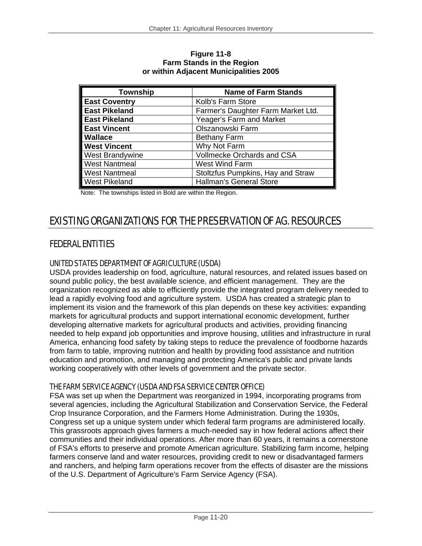| <b>Township</b>      | <b>Name of Farm Stands</b>         |
|----------------------|------------------------------------|
| <b>East Coventry</b> | Kolb's Farm Store                  |
| <b>East Pikeland</b> | Farmer's Daughter Farm Market Ltd. |
| <b>East Pikeland</b> | Yeager's Farm and Market           |
| <b>East Vincent</b>  | Olszanowski Farm                   |
| <b>Wallace</b>       | <b>Bethany Farm</b>                |
| <b>West Vincent</b>  | Why Not Farm                       |
| West Brandywine      | Vollmecke Orchards and CSA         |
| <b>West Nantmeal</b> | West Wind Farm                     |
| <b>West Nantmeal</b> | Stoltzfus Pumpkins, Hay and Straw  |
| <b>West Pikeland</b> | <b>Hallman's General Store</b>     |

**Figure 11-8 Farm Stands in the Region or within Adjacent Municipalities 2005** 

Note: The townships listed in Bold are within the Region.

# EXISTING ORGANIZATIONS FOR THE PRESERVATION OF AG. RESOURCES

## FEDERAL ENTITIES

## UNITED STATES DEPARTMENT OF AGRICULTURE (USDA)

USDA provides leadership on food, agriculture, natural resources, and related issues based on sound public policy, the best available science, and efficient management. They are the organization recognized as able to efficiently provide the integrated program delivery needed to lead a rapidly evolving food and agriculture system. USDA has created a strategic plan to implement its vision and the framework of this plan depends on these key activities: expanding markets for agricultural products and support international economic development, further developing alternative markets for agricultural products and activities, providing financing needed to help expand job opportunities and improve housing, utilities and infrastructure in rural America, enhancing food safety by taking steps to reduce the prevalence of foodborne hazards from farm to table, improving nutrition and health by providing food assistance and nutrition education and promotion, and managing and protecting America's public and private lands working cooperatively with other levels of government and the private sector.

## THE FARM SERVICE AGENCY (USDA AND FSA SERVICE CENTER OFFICE)

FSA was set up when the Department was reorganized in 1994, incorporating programs from several agencies, including the Agricultural Stabilization and Conservation Service, the Federal Crop Insurance Corporation, and the Farmers Home Administration. During the 1930s, Congress set up a unique system under which federal farm programs are administered locally. This grassroots approach gives farmers a much-needed say in how federal actions affect their communities and their individual operations. After more than 60 years, it remains a cornerstone of FSA's efforts to preserve and promote American agriculture. Stabilizing farm income, helping farmers conserve land and water resources, providing credit to new or disadvantaged farmers and ranchers, and helping farm operations recover from the effects of disaster are the missions of the U.S. Department of Agriculture's Farm Service Agency (FSA).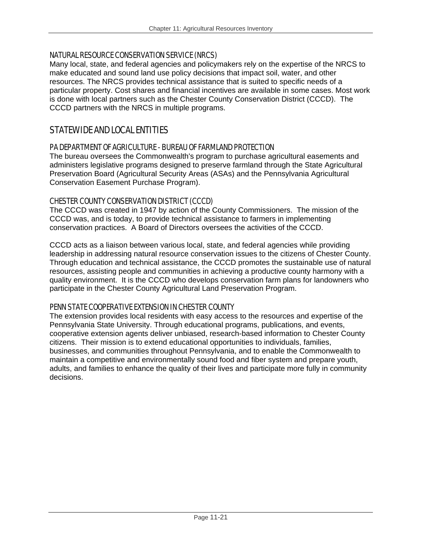### NATURAL RESOURCE CONSERVATION SERVICE (NRCS)

Many local, state, and federal agencies and policymakers rely on the expertise of the NRCS to make educated and sound land use policy decisions that impact soil, water, and other resources. The NRCS provides technical assistance that is suited to specific needs of a particular property. Cost shares and financial incentives are available in some cases. Most work is done with local partners such as the Chester County Conservation District (CCCD). The CCCD partners with the NRCS in multiple programs.

## STATEWIDE AND LOCAL ENTITIES

### PA DEPARTMENT OF AGRICULTURE - BUREAU OF FARMLAND PROTECTION

The bureau oversees the Commonwealth's program to purchase agricultural easements and administers legislative programs designed to preserve farmland through the State Agricultural Preservation Board (Agricultural Security Areas (ASAs) and the Pennsylvania Agricultural Conservation Easement Purchase Program).

## CHESTER COUNTY CONSERVATION DISTRICT (CCCD)

The CCCD was created in 1947 by action of the County Commissioners. The mission of the CCCD was, and is today, to provide technical assistance to farmers in implementing conservation practices. A Board of Directors oversees the activities of the CCCD.

CCCD acts as a liaison between various local, state, and federal agencies while providing leadership in addressing natural resource conservation issues to the citizens of Chester County. Through education and technical assistance, the CCCD promotes the sustainable use of natural resources, assisting people and communities in achieving a productive county harmony with a quality environment. It is the CCCD who develops conservation farm plans for landowners who participate in the Chester County Agricultural Land Preservation Program.

### PENN STATE COOPERATIVE EXTENSION IN CHESTER COUNTY

The extension provides local residents with easy access to the resources and expertise of the Pennsylvania State University. Through educational programs, publications, and events, cooperative extension agents deliver unbiased, research-based information to Chester County citizens. Their mission is to extend educational opportunities to individuals, families, businesses, and communities throughout Pennsylvania, and to enable the Commonwealth to maintain a competitive and environmentally sound food and fiber system and prepare youth, adults, and families to enhance the quality of their lives and participate more fully in community decisions.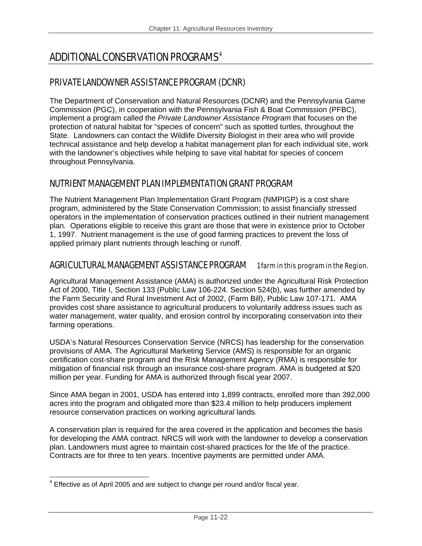# ADDITIONAL CONSERVATION PROGRAMS4

## PRIVATE LANDOWNER ASSISTANCE PROGRAM (DCNR)

The Department of Conservation and Natural Resources (DCNR) and the Pennsylvania Game Commission (PGC), in cooperation with the Pennsylvania Fish & Boat Commission (PFBC), implement a program called the *Private Landowner Assistance Program* that focuses on the protection of natural habitat for "species of concern" such as spotted turtles, throughout the State. Landowners can contact the Wildlife Diversity Biologist in their area who will provide technical assistance and help develop a habitat management plan for each individual site, work with the landowner's objectives while helping to save vital habitat for species of concern throughout Pennsylvania.

## NUTRIENT MANAGEMENT PLAN IMPLEMENTATION GRANT PROGRAM

The Nutrient Management Plan Implementation Grant Program (NMPIGP) is a cost share program, administered by the State Conservation Commission; to assist financially stressed operators in the implementation of conservation practices outlined in their nutrient management plan. Operations eligible to receive this grant are those that were in existence prior to October 1, 1997. Nutrient management is the use of good farming practices to prevent the loss of applied primary plant nutrients through leaching or runoff.

## AGRICULTURAL MANAGEMENT ASSISTANCE PROGRAM 1 farm in this program in the Region.

Agricultural Management Assistance (AMA) is authorized under the Agricultural Risk Protection Act of 2000, Title I, Section 133 (Public Law 106-224. Section 524(b), was further amended by the Farm Security and Rural Investment Act of 2002, (Farm Bill), Public Law 107-171. AMA provides cost share assistance to agricultural producers to voluntarily address issues such as water management, water quality, and erosion control by incorporating conservation into their farming operations.

USDA's Natural Resources Conservation Service (NRCS) has leadership for the conservation provisions of AMA. The Agricultural Marketing Service (AMS) is responsible for an organic certification cost-share program and the Risk Management Agency (RMA) is responsible for mitigation of financial risk through an insurance cost-share program. AMA is budgeted at \$20 million per year. Funding for AMA is authorized through fiscal year 2007.

Since AMA began in 2001, USDA has entered into 1,899 contracts, enrolled more than 392,000 acres into the program and obligated more than \$23.4 million to help producers implement resource conservation practices on working agricultural lands.

A conservation plan is required for the area covered in the application and becomes the basis for developing the AMA contract. NRCS will work with the landowner to develop a conservation plan. Landowners must agree to maintain cost-shared practices for the life of the practice. Contracts are for three to ten years. Incentive payments are permitted under AMA.

<sup>-</sup> $4$  Effective as of April 2005 and are subject to change per round and/or fiscal year.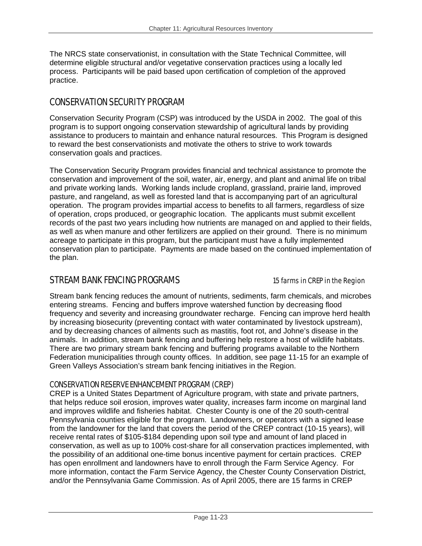The NRCS state conservationist, in consultation with the State Technical Committee, will determine eligible structural and/or vegetative conservation practices using a locally led process. Participants will be paid based upon certification of completion of the approved practice.

## CONSERVATION SECURITY PROGRAM

Conservation Security Program (CSP) was introduced by the USDA in 2002. The goal of this program is to support ongoing conservation stewardship of agricultural lands by providing assistance to producers to maintain and enhance natural resources. This Program is designed to reward the best conservationists and motivate the others to strive to work towards conservation goals and practices.

The Conservation Security Program provides financial and technical assistance to promote the conservation and improvement of the soil, water, air, energy, and plant and animal life on tribal and private working lands. Working lands include cropland, grassland, prairie land, improved pasture, and rangeland, as well as forested land that is accompanying part of an agricultural operation. The program provides impartial access to benefits to all farmers, regardless of size of operation, crops produced, or geographic location. The applicants must submit excellent records of the past two years including how nutrients are managed on and applied to their fields, as well as when manure and other fertilizers are applied on their ground. There is no minimum acreage to participate in this program, but the participant must have a fully implemented conservation plan to participate. Payments are made based on the continued implementation of the plan.

## STREAM BANK FENCING PROGRAMS 15 farms in CREP in the Region

Stream bank fencing reduces the amount of nutrients, sediments, farm chemicals, and microbes entering streams. Fencing and buffers improve watershed function by decreasing flood frequency and severity and increasing groundwater recharge. Fencing can improve herd health by increasing biosecurity (preventing contact with water contaminated by livestock upstream), and by decreasing chances of ailments such as mastitis, foot rot, and Johne's disease in the animals. In addition, stream bank fencing and buffering help restore a host of wildlife habitats. There are two primary stream bank fencing and buffering programs available to the Northern Federation municipalities through county offices. In addition, see page 11-15 for an example of Green Valleys Association's stream bank fencing initiatives in the Region.

### CONSERVATION RESERVE ENHANCEMENT PROGRAM (CREP)

CREP is a United States Department of Agriculture program, with state and private partners, that helps reduce soil erosion, improves water quality, increases farm income on marginal land and improves wildlife and fisheries habitat. Chester County is one of the 20 south-central Pennsylvania counties eligible for the program. Landowners, or operators with a signed lease from the landowner for the land that covers the period of the CREP contract (10-15 years), will receive rental rates of \$105-\$184 depending upon soil type and amount of land placed in conservation, as well as up to 100% cost-share for all conservation practices implemented, with the possibility of an additional one-time bonus incentive payment for certain practices. CREP has open enrollment and landowners have to enroll through the Farm Service Agency. For more information, contact the Farm Service Agency, the Chester County Conservation District, and/or the Pennsylvania Game Commission. As of April 2005, there are 15 farms in CREP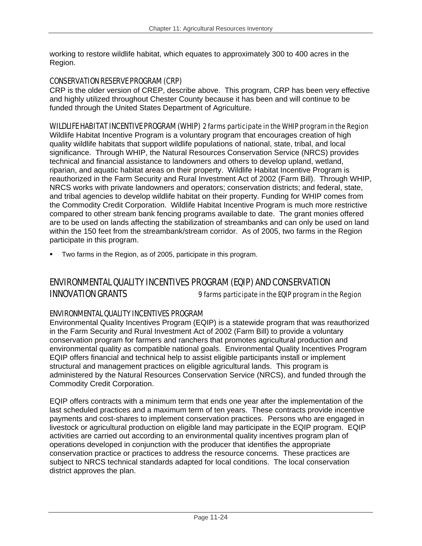working to restore wildlife habitat, which equates to approximately 300 to 400 acres in the Region.

### CONSERVATION RESERVE PROGRAM (CRP)

CRP is the older version of CREP, describe above. This program, CRP has been very effective and highly utilized throughout Chester County because it has been and will continue to be funded through the United States Department of Agriculture.

## WILDLIFE HABITAT INCENTIVE PROGRAM (WHIP) 2 farms participate in the WHIP program in the Region

Wildlife Habitat Incentive Program is a voluntary program that encourages creation of high quality wildlife habitats that support wildlife populations of national, state, tribal, and local significance. Through WHIP, the Natural Resources Conservation Service (NRCS) provides technical and financial assistance to landowners and others to develop upland, wetland, riparian, and aquatic habitat areas on their property. Wildlife Habitat Incentive Program is reauthorized in the Farm Security and Rural Investment Act of 2002 (Farm Bill). Through WHIP, NRCS works with private landowners and operators; conservation districts; and federal, state, and tribal agencies to develop wildlife habitat on their property. Funding for WHIP comes from the Commodity Credit Corporation. Wildlife Habitat Incentive Program is much more restrictive compared to other stream bank fencing programs available to date. The grant monies offered are to be used on lands affecting the stabilization of streambanks and can only be used on land within the 150 feet from the streambank/stream corridor. As of 2005, two farms in the Region participate in this program.

Two farms in the Region, as of 2005, participate in this program.

## ENVIRONMENTAL QUALITY INCENTIVES PROGRAM (EQIP) AND CONSERVATION INNOVATION GRANTS 9 farms participate in the EQIP program in the Region

### ENVIRONMENTAL QUALITY INCENTIVES PROGRAM

Environmental Quality Incentives Program (EQIP) is a statewide program that was reauthorized in the Farm Security and Rural Investment Act of 2002 (Farm Bill) to provide a voluntary conservation program for farmers and ranchers that promotes agricultural production and environmental quality as compatible national goals. Environmental Quality Incentives Program EQIP offers financial and technical help to assist eligible participants install or implement structural and management practices on eligible agricultural lands. This program is administered by the Natural Resources Conservation Service (NRCS), and funded through the Commodity Credit Corporation.

EQIP offers contracts with a minimum term that ends one year after the implementation of the last scheduled practices and a maximum term of ten years. These contracts provide incentive payments and cost-shares to implement conservation practices. Persons who are engaged in livestock or agricultural production on eligible land may participate in the EQIP program. EQIP activities are carried out according to an environmental quality incentives program plan of operations developed in conjunction with the producer that identifies the appropriate conservation practice or practices to address the resource concerns. These practices are subject to NRCS technical standards adapted for local conditions. The local conservation district approves the plan.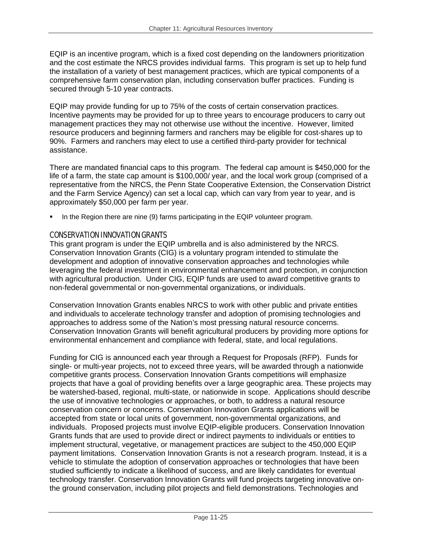EQIP is an incentive program, which is a fixed cost depending on the landowners prioritization and the cost estimate the NRCS provides individual farms. This program is set up to help fund the installation of a variety of best management practices, which are typical components of a comprehensive farm conservation plan, including conservation buffer practices. Funding is secured through 5-10 year contracts.

EQIP may provide funding for up to 75% of the costs of certain conservation practices. Incentive payments may be provided for up to three years to encourage producers to carry out management practices they may not otherwise use without the incentive. However, limited resource producers and beginning farmers and ranchers may be eligible for cost-shares up to 90%. Farmers and ranchers may elect to use a certified third-party provider for technical assistance.

There are mandated financial caps to this program. The federal cap amount is \$450,000 for the life of a farm, the state cap amount is \$100,000/ year, and the local work group (comprised of a representative from the NRCS, the Penn State Cooperative Extension, the Conservation District and the Farm Service Agency) can set a local cap, which can vary from year to year, and is approximately \$50,000 per farm per year.

In the Region there are nine (9) farms participating in the EQIP volunteer program.

### CONSERVATION INNOVATION GRANTS

This grant program is under the EQIP umbrella and is also administered by the NRCS. Conservation Innovation Grants (CIG) is a voluntary program intended to stimulate the development and adoption of innovative conservation approaches and technologies while leveraging the federal investment in environmental enhancement and protection, in conjunction with agricultural production. Under CIG, EQIP funds are used to award competitive grants to non-federal governmental or non-governmental organizations, or individuals.

Conservation Innovation Grants enables NRCS to work with other public and private entities and individuals to accelerate technology transfer and adoption of promising technologies and approaches to address some of the Nation's most pressing natural resource concerns. Conservation Innovation Grants will benefit agricultural producers by providing more options for environmental enhancement and compliance with federal, state, and local regulations.

Funding for CIG is announced each year through a Request for Proposals (RFP). Funds for single- or multi-year projects, not to exceed three years, will be awarded through a nationwide competitive grants process. Conservation Innovation Grants competitions will emphasize projects that have a goal of providing benefits over a large geographic area. These projects may be watershed-based, regional, multi-state, or nationwide in scope. Applications should describe the use of innovative technologies or approaches, or both, to address a natural resource conservation concern or concerns. Conservation Innovation Grants applications will be accepted from state or local units of government, non-governmental organizations, and individuals. Proposed projects must involve EQIP-eligible producers. Conservation Innovation Grants funds that are used to provide direct or indirect payments to individuals or entities to implement structural, vegetative, or management practices are subject to the 450,000 EQIP payment limitations. Conservation Innovation Grants is not a research program. Instead, it is a vehicle to stimulate the adoption of conservation approaches or technologies that have been studied sufficiently to indicate a likelihood of success, and are likely candidates for eventual technology transfer. Conservation Innovation Grants will fund projects targeting innovative onthe ground conservation, including pilot projects and field demonstrations. Technologies and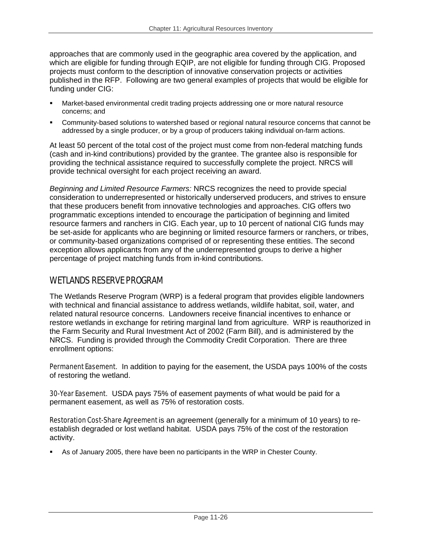approaches that are commonly used in the geographic area covered by the application, and which are eligible for funding through EQIP, are not eligible for funding through CIG. Proposed projects must conform to the description of innovative conservation projects or activities published in the RFP. Following are two general examples of projects that would be eligible for funding under CIG:

- Market-based environmental credit trading projects addressing one or more natural resource concerns; and
- Community-based solutions to watershed based or regional natural resource concerns that cannot be addressed by a single producer, or by a group of producers taking individual on-farm actions.

At least 50 percent of the total cost of the project must come from non-federal matching funds (cash and in-kind contributions) provided by the grantee. The grantee also is responsible for providing the technical assistance required to successfully complete the project. NRCS will provide technical oversight for each project receiving an award.

*Beginning and Limited Resource Farmers:* NRCS recognizes the need to provide special consideration to underrepresented or historically underserved producers, and strives to ensure that these producers benefit from innovative technologies and approaches. CIG offers two programmatic exceptions intended to encourage the participation of beginning and limited resource farmers and ranchers in CIG. Each year, up to 10 percent of national CIG funds may be set-aside for applicants who are beginning or limited resource farmers or ranchers, or tribes, or community-based organizations comprised of or representing these entities. The second exception allows applicants from any of the underrepresented groups to derive a higher percentage of project matching funds from in-kind contributions.

## WETLANDS RESERVE PROGRAM

The Wetlands Reserve Program (WRP) is a federal program that provides eligible landowners with technical and financial assistance to address wetlands, wildlife habitat, soil, water, and related natural resource concerns. Landowners receive financial incentives to enhance or restore wetlands in exchange for retiring marginal land from agriculture. WRP is reauthorized in the Farm Security and Rural Investment Act of 2002 (Farm Bill), and is administered by the NRCS. Funding is provided through the Commodity Credit Corporation. There are three enrollment options:

**Permanent Easement.** In addition to paying for the easement, the USDA pays 100% of the costs of restoring the wetland.

30-Year Easement. USDA pays 75% of easement payments of what would be paid for a permanent easement, as well as 75% of restoration costs.

Restoration Cost-Share Agreement is an agreement (generally for a minimum of 10 years) to reestablish degraded or lost wetland habitat. USDA pays 75% of the cost of the restoration activity.

As of January 2005, there have been no participants in the WRP in Chester County.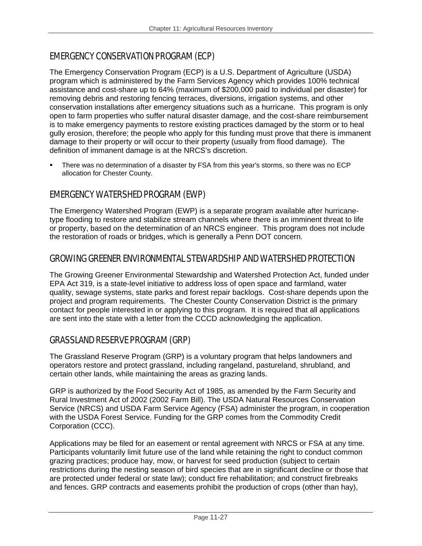## EMERGENCY CONSERVATION PROGRAM (ECP)

The Emergency Conservation Program (ECP) is a U.S. Department of Agriculture (USDA) program which is administered by the Farm Services Agency which provides 100% technical assistance and cost-share up to 64% (maximum of \$200,000 paid to individual per disaster) for removing debris and restoring fencing terraces, diversions, irrigation systems, and other conservation installations after emergency situations such as a hurricane. This program is only open to farm properties who suffer natural disaster damage, and the cost-share reimbursement is to make emergency payments to restore existing practices damaged by the storm or to heal gully erosion, therefore; the people who apply for this funding must prove that there is immanent damage to their property or will occur to their property (usually from flood damage). The definition of immanent damage is at the NRCS's discretion.

 There was no determination of a disaster by FSA from this year's storms, so there was no ECP allocation for Chester County.

## EMERGENCY WATERSHED PROGRAM (EWP)

The Emergency Watershed Program (EWP) is a separate program available after hurricanetype flooding to restore and stabilize stream channels where there is an imminent threat to life or property, based on the determination of an NRCS engineer. This program does not include the restoration of roads or bridges, which is generally a Penn DOT concern.

## GROWING GREENER ENVIRONMENTAL STEWARDSHIP AND WATERSHED PROTECTION

The Growing Greener Environmental Stewardship and Watershed Protection Act, funded under EPA Act 319, is a state-level initiative to address loss of open space and farmland, water quality, sewage systems, state parks and forest repair backlogs. Cost-share depends upon the project and program requirements. The Chester County Conservation District is the primary contact for people interested in or applying to this program. It is required that all applications are sent into the state with a letter from the CCCD acknowledging the application.

## GRASSLAND RESERVE PROGRAM (GRP)

The Grassland Reserve Program (GRP) is a voluntary program that helps landowners and operators restore and protect grassland, including rangeland, pastureland, shrubland, and certain other lands, while maintaining the areas as grazing lands.

GRP is authorized by the Food Security Act of 1985, as amended by the Farm Security and Rural Investment Act of 2002 (2002 Farm Bill). The USDA Natural Resources Conservation Service (NRCS) and USDA Farm Service Agency (FSA) administer the program, in cooperation with the USDA Forest Service. Funding for the GRP comes from the Commodity Credit Corporation (CCC).

Applications may be filed for an easement or rental agreement with NRCS or FSA at any time. Participants voluntarily limit future use of the land while retaining the right to conduct common grazing practices; produce hay, mow, or harvest for seed production (subject to certain restrictions during the nesting season of bird species that are in significant decline or those that are protected under federal or state law); conduct fire rehabilitation; and construct firebreaks and fences. GRP contracts and easements prohibit the production of crops (other than hay),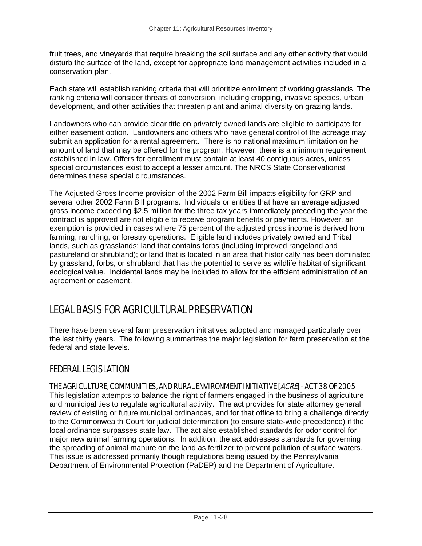fruit trees, and vineyards that require breaking the soil surface and any other activity that would disturb the surface of the land, except for appropriate land management activities included in a conservation plan.

Each state will establish ranking criteria that will prioritize enrollment of working grasslands. The ranking criteria will consider threats of conversion, including cropping, invasive species, urban development, and other activities that threaten plant and animal diversity on grazing lands.

Landowners who can provide clear title on privately owned lands are eligible to participate for either easement option. Landowners and others who have general control of the acreage may submit an application for a rental agreement. There is no national maximum limitation on he amount of land that may be offered for the program. However, there is a minimum requirement established in law. Offers for enrollment must contain at least 40 contiguous acres, unless special circumstances exist to accept a lesser amount. The NRCS State Conservationist determines these special circumstances.

The Adjusted Gross Income provision of the 2002 Farm Bill impacts eligibility for GRP and several other 2002 Farm Bill programs. Individuals or entities that have an average adjusted gross income exceeding \$2.5 million for the three tax years immediately preceding the year the contract is approved are not eligible to receive program benefits or payments. However, an exemption is provided in cases where 75 percent of the adjusted gross income is derived from farming, ranching, or forestry operations. Eligible land includes privately owned and Tribal lands, such as grasslands; land that contains forbs (including improved rangeland and pastureland or shrubland); or land that is located in an area that historically has been dominated by grassland, forbs, or shrubland that has the potential to serve as wildlife habitat of significant ecological value. Incidental lands may be included to allow for the efficient administration of an agreement or easement.

# LEGAL BASIS FOR AGRICULTURAL PRESERVATION

There have been several farm preservation initiatives adopted and managed particularly over the last thirty years. The following summarizes the major legislation for farm preservation at the federal and state levels.

## FEDERAL LEGISLATION

## THE AGRICULTURE, COMMUNITIES, AND RURAL ENVIRONMENT INITIATIVE [ACRE] - ACT 38 OF 2005

This legislation attempts to balance the right of farmers engaged in the business of agriculture and municipalities to regulate agricultural activity. The act provides for state attorney general review of existing or future municipal ordinances, and for that office to bring a challenge directly to the Commonwealth Court for judicial determination (to ensure state-wide precedence) if the local ordinance surpasses state law. The act also established standards for odor control for major new animal farming operations. In addition, the act addresses standards for governing the spreading of animal manure on the land as fertilizer to prevent pollution of surface waters. This issue is addressed primarily though regulations being issued by the Pennsylvania Department of Environmental Protection (PaDEP) and the Department of Agriculture.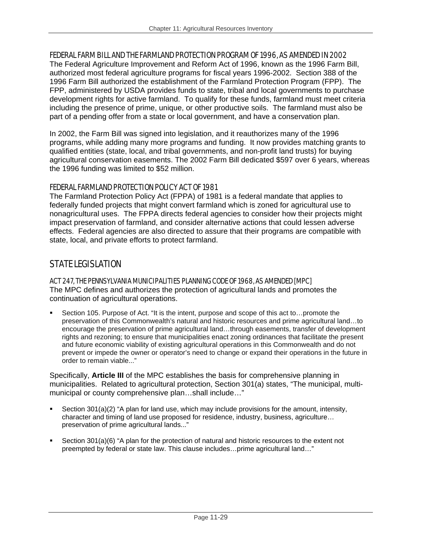### FEDERAL FARM BILL AND THE FARMLAND PROTECTION PROGRAM OF 1996, AS AMENDED IN 2002

The Federal Agriculture Improvement and Reform Act of 1996, known as the 1996 Farm Bill, authorized most federal agriculture programs for fiscal years 1996-2002. Section 388 of the 1996 Farm Bill authorized the establishment of the Farmland Protection Program (FPP). The FPP, administered by USDA provides funds to state, tribal and local governments to purchase development rights for active farmland. To qualify for these funds, farmland must meet criteria including the presence of prime, unique, or other productive soils. The farmland must also be part of a pending offer from a state or local government, and have a conservation plan.

In 2002, the Farm Bill was signed into legislation, and it reauthorizes many of the 1996 programs, while adding many more programs and funding. It now provides matching grants to qualified entities (state, local, and tribal governments, and non-profit land trusts) for buying agricultural conservation easements. The 2002 Farm Bill dedicated \$597 over 6 years, whereas the 1996 funding was limited to \$52 million.

## FEDERAL FARMLAND PROTECTION POLICY ACT OF 1981

The Farmland Protection Policy Act (FPPA) of 1981 is a federal mandate that applies to federally funded projects that might convert farmland which is zoned for agricultural use to nonagricultural uses. The FPPA directs federal agencies to consider how their projects might impact preservation of farmland, and consider alternative actions that could lessen adverse effects. Federal agencies are also directed to assure that their programs are compatible with state, local, and private efforts to protect farmland.

## STATE LEGISLATION

#### ACT 247, THE PENNSYLVANIA MUNICIPALITIES PLANNING CODE OF 1968, AS AMENDED [MPC]

The MPC defines and authorizes the protection of agricultural lands and promotes the continuation of agricultural operations.

 Section 105. Purpose of Act. "It is the intent, purpose and scope of this act to…promote the preservation of this Commonwealth's natural and historic resources and prime agricultural land…to encourage the preservation of prime agricultural land…through easements, transfer of development rights and rezoning; to ensure that municipalities enact zoning ordinances that facilitate the present and future economic viability of existing agricultural operations in this Commonwealth and do not prevent or impede the owner or operator's need to change or expand their operations in the future in order to remain viable..."

Specifically, **Article III** of the MPC establishes the basis for comprehensive planning in municipalities. Related to agricultural protection, Section 301(a) states, "The municipal, multimunicipal or county comprehensive plan…shall include…"

- Section 301(a)(2) "A plan for land use, which may include provisions for the amount, intensity, character and timing of land use proposed for residence, industry, business, agriculture… preservation of prime agricultural lands..."
- Section 301(a)(6) "A plan for the protection of natural and historic resources to the extent not preempted by federal or state law. This clause includes…prime agricultural land…"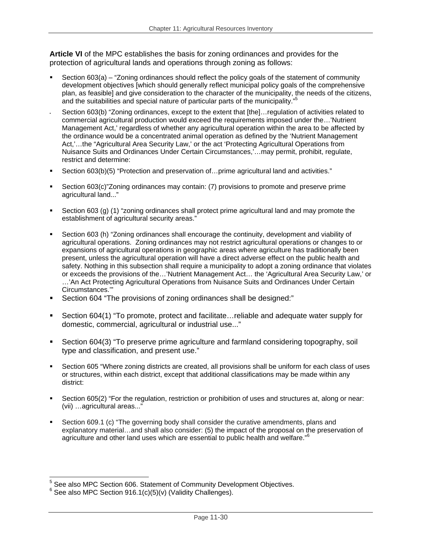**Article VI** of the MPC establishes the basis for zoning ordinances and provides for the protection of agricultural lands and operations through zoning as follows:

- Section 603(a) "Zoning ordinances should reflect the policy goals of the statement of community development objectives [which should generally reflect municipal policy goals of the comprehensive plan, as feasible] and give consideration to the character of the municipality, the needs of the citizens, and the suitabilities and special nature of particular parts of the municipality."5
- Section 603(b) "Zoning ordinances, except to the extent that [the]…regulation of activities related to commercial agricultural production would exceed the requirements imposed under the…'Nutrient Management Act,' regardless of whether any agricultural operation within the area to be affected by the ordinance would be a concentrated animal operation as defined by the 'Nutrient Management Act,'…the "Agricultural Area Security Law,' or the act 'Protecting Agricultural Operations from Nuisance Suits and Ordinances Under Certain Circumstances,'…may permit, prohibit, regulate, restrict and determine:
- Section 603(b)(5) "Protection and preservation of…prime agricultural land and activities."
- Section 603(c)"Zoning ordinances may contain: (7) provisions to promote and preserve prime agricultural land..."
- Section 603 (g) (1) "zoning ordinances shall protect prime agricultural land and may promote the establishment of agricultural security areas."
- Section 603 (h) "Zoning ordinances shall encourage the continuity, development and viability of agricultural operations. Zoning ordinances may not restrict agricultural operations or changes to or expansions of agricultural operations in geographic areas where agriculture has traditionally been present, unless the agricultural operation will have a direct adverse effect on the public health and safety. Nothing in this subsection shall require a municipality to adopt a zoning ordinance that violates or exceeds the provisions of the…'Nutrient Management Act… the 'Agricultural Area Security Law,' or …'An Act Protecting Agricultural Operations from Nuisance Suits and Ordinances Under Certain Circumstances.'"
- Section 604 "The provisions of zoning ordinances shall be designed:"
- Section 604(1) "To promote, protect and facilitate…reliable and adequate water supply for domestic, commercial, agricultural or industrial use..."
- Section 604(3) "To preserve prime agriculture and farmland considering topography, soil type and classification, and present use."
- Section 605 "Where zoning districts are created, all provisions shall be uniform for each class of uses or structures, within each district, except that additional classifications may be made within any district:
- Section 605(2) "For the regulation, restriction or prohibition of uses and structures at, along or near: (vii) …agricultural areas..."
- Section 609.1 (c) "The governing body shall consider the curative amendments, plans and explanatory material…and shall also consider: (5) the impact of the proposal on the preservation of agriculture and other land uses which are essential to public health and welfare."<sup>6</sup>

 5 See also MPC Section 606. Statement of Community Development Objectives.

 $6$  See also MPC Section 916.1(c)(5)(v) (Validity Challenges).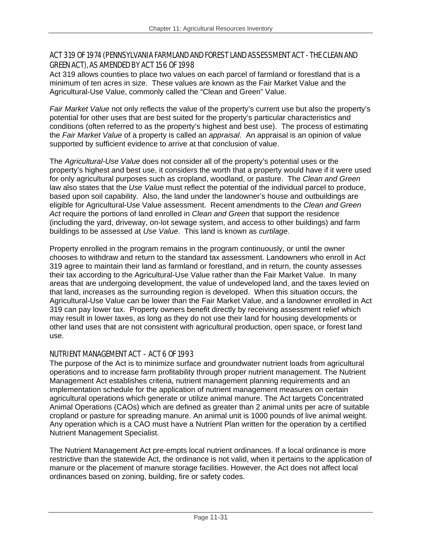## ACT 319 OF 1974 (PENNSYLVANIA FARMLAND AND FOREST LAND ASSESSMENT ACT - THE CLEAN AND GREEN ACT), AS AMENDED BY ACT 156 OF 1998

Act 319 allows counties to place two values on each parcel of farmland or forestland that is a minimum of ten acres in size. These values are known as the Fair Market Value and the Agricultural-Use Value, commonly called the "Clean and Green" Value.

*Fair Market Value* not only reflects the value of the property's current use but also the property's potential for other uses that are best suited for the property's particular characteristics and conditions (often referred to as the property's highest and best use). The process of estimating the *Fair Market Value* of a property is called an *appraisal*. An appraisal is an opinion of value supported by sufficient evidence to arrive at that conclusion of value.

The *Agricultural-Use Value* does not consider all of the property's potential uses or the property's highest and best use, it considers the worth that a property would have if it were used for only agricultural purposes such as cropland, woodland, or pasture. The *Clean and Green* law also states that the *Use Value* must reflect the potential of the individual parcel to produce, based upon soil capability. Also, the land under the landowner's house and outbuildings are eligible for Agricultural-Use Value assessment. Recent amendments to the *Clean and Green Act* require the portions of land enrolled in *Clean and Green* that support the residence (including the yard, driveway, on-lot sewage system, and access to other buildings) and farm buildings to be assessed at *Use Value*. This land is known as *curtilage*.

Property enrolled in the program remains in the program continuously, or until the owner chooses to withdraw and return to the standard tax assessment. Landowners who enroll in Act 319 agree to maintain their land as farmland or forestland, and in return, the county assesses their tax according to the Agricultural-Use Value rather than the Fair Market Value. In many areas that are undergoing development, the value of undeveloped land, and the taxes levied on that land, increases as the surrounding region is developed. When this situation occurs, the Agricultural-Use Value can be lower than the Fair Market Value, and a landowner enrolled in Act 319 can pay lower tax. Property owners benefit directly by receiving assessment relief which may result in lower taxes, as long as they do not use their land for housing developments or other land uses that are not consistent with agricultural production, open space, or forest land use.

## NUTRIENT MANAGEMENT ACT - ACT 6 OF 1993

The purpose of the Act is to minimize surface and groundwater nutrient loads from agricultural operations and to increase farm profitability through proper nutrient management. The Nutrient Management Act establishes criteria, nutrient management planning requirements and an implementation schedule for the application of nutrient management measures on certain agricultural operations which generate or utilize animal manure. The Act targets Concentrated Animal Operations (CAOs) which are defined as greater than 2 animal units per acre of suitable cropland or pasture for spreading manure. An animal unit is 1000 pounds of live animal weight. Any operation which is a CAO must have a Nutrient Plan written for the operation by a certified Nutrient Management Specialist.

The Nutrient Management Act pre-empts local nutrient ordinances. If a local ordinance is more restrictive than the statewide Act, the ordinance is not valid, when it pertains to the application of manure or the placement of manure storage facilities. However, the Act does not affect local ordinances based on zoning, building, fire or safety codes.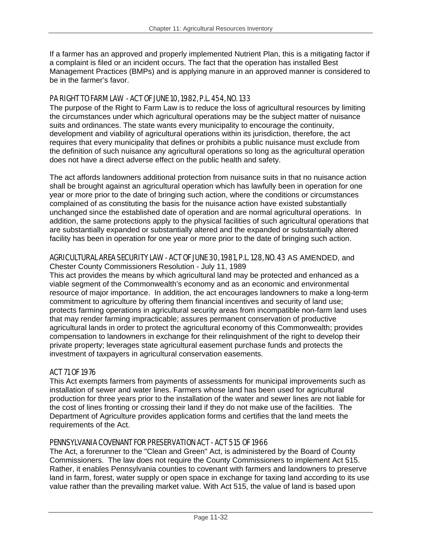If a farmer has an approved and properly implemented Nutrient Plan, this is a mitigating factor if a complaint is filed or an incident occurs. The fact that the operation has installed Best Management Practices (BMPs) and is applying manure in an approved manner is considered to be in the farmer's favor.

## PA RIGHT TO FARM LAW - ACT OF JUNE 10, 1982, P.L. 454, NO. 133

The purpose of the Right to Farm Law is to reduce the loss of agricultural resources by limiting the circumstances under which agricultural operations may be the subject matter of nuisance suits and ordinances. The state wants every municipality to encourage the continuity, development and viability of agricultural operations within its jurisdiction, therefore, the act requires that every municipality that defines or prohibits a public nuisance must exclude from the definition of such nuisance any agricultural operations so long as the agricultural operation does not have a direct adverse effect on the public health and safety.

The act affords landowners additional protection from nuisance suits in that no nuisance action shall be brought against an agricultural operation which has lawfully been in operation for one year or more prior to the date of bringing such action, where the conditions or circumstances complained of as constituting the basis for the nuisance action have existed substantially unchanged since the established date of operation and are normal agricultural operations. In addition, the same protections apply to the physical facilities of such agricultural operations that are substantially expanded or substantially altered and the expanded or substantially altered facility has been in operation for one year or more prior to the date of bringing such action.

## AGRICULTURAL AREA SECURITY LAW - ACT OF JUNE 30, 1981, P.L. 128, NO. 43 AS AMENDED, and

Chester County Commissioners Resolution - July 11, 1989

This act provides the means by which agricultural land may be protected and enhanced as a viable segment of the Commonwealth's economy and as an economic and environmental resource of major importance. In addition, the act encourages landowners to make a long-term commitment to agriculture by offering them financial incentives and security of land use; protects farming operations in agricultural security areas from incompatible non-farm land uses that may render farming impracticable; assures permanent conservation of productive agricultural lands in order to protect the agricultural economy of this Commonwealth; provides compensation to landowners in exchange for their relinquishment of the right to develop their private property; leverages state agricultural easement purchase funds and protects the investment of taxpayers in agricultural conservation easements.

## ACT 71 OF 1976

This Act exempts farmers from payments of assessments for municipal improvements such as installation of sewer and water lines. Farmers whose land has been used for agricultural production for three years prior to the installation of the water and sewer lines are not liable for the cost of lines fronting or crossing their land if they do not make use of the facilities. The Department of Agriculture provides application forms and certifies that the land meets the requirements of the Act.

### PENNSYLVANIA COVENANT FOR PRESERVATION ACT - ACT 515 OF 1966

The Act, a forerunner to the "Clean and Green" Act, is administered by the Board of County Commissioners. The law does not require the County Commissioners to implement Act 515. Rather, it enables Pennsylvania counties to covenant with farmers and landowners to preserve land in farm, forest, water supply or open space in exchange for taxing land according to its use value rather than the prevailing market value. With Act 515, the value of land is based upon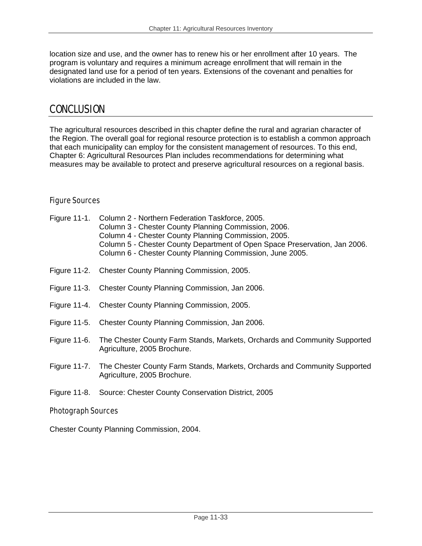location size and use, and the owner has to renew his or her enrollment after 10 years. The program is voluntary and requires a minimum acreage enrollment that will remain in the designated land use for a period of ten years. Extensions of the covenant and penalties for violations are included in the law.

## **CONCLUSION**

The agricultural resources described in this chapter define the rural and agrarian character of the Region. The overall goal for regional resource protection is to establish a common approach that each municipality can employ for the consistent management of resources. To this end, Chapter 6: Agricultural Resources Plan includes recommendations for determining what measures may be available to protect and preserve agricultural resources on a regional basis.

## Figure Sources

| Figure 11-1. Column 2 - Northern Federation Taskforce, 2005.<br>Column 3 - Chester County Planning Commission, 2006.<br>Column 4 - Chester County Planning Commission, 2005.<br>Column 5 - Chester County Department of Open Space Preservation, Jan 2006.<br>Column 6 - Chester County Planning Commission, June 2005. |
|-------------------------------------------------------------------------------------------------------------------------------------------------------------------------------------------------------------------------------------------------------------------------------------------------------------------------|
| Figure 11-2. Chester County Planning Commission, 2005.                                                                                                                                                                                                                                                                  |
| Figure 11-3. Chester County Planning Commission, Jan 2006.                                                                                                                                                                                                                                                              |
| Figure 11-4. Chester County Planning Commission, 2005.                                                                                                                                                                                                                                                                  |
| Figure 11-5. Chester County Planning Commission, Jan 2006.                                                                                                                                                                                                                                                              |
| Figure 11-6. The Chester County Farm Stands, Markets, Orchards and Community Supported<br>Agriculture, 2005 Brochure.                                                                                                                                                                                                   |
| Figure 11-7. The Chester County Farm Stands, Markets, Orchards and Community Supported<br>Agriculture, 2005 Brochure.                                                                                                                                                                                                   |
| Figure 11-8. Source: Chester County Conservation District, 2005                                                                                                                                                                                                                                                         |

## Photograph Sources

Chester County Planning Commission, 2004.